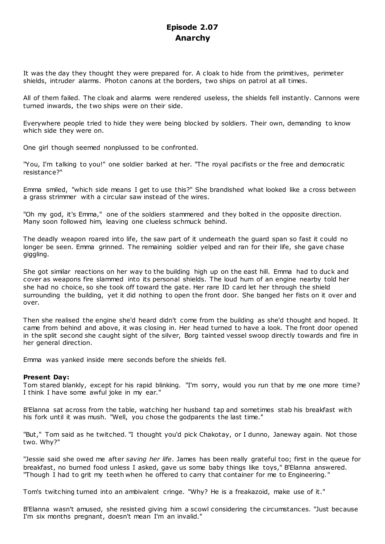# **Episode 2.07 Anarchy**

It was the day they thought they were prepared for. A cloak to hide from the primitives, perimeter shields, intruder alarms. Photon canons at the borders, two ships on patrol at all times.

All of them failed. The cloak and alarms were rendered useless, the shields fell instantly. Cannons were turned inwards, the two ships were on their side.

Everywhere people tried to hide they were being blocked by soldiers. Their own, demanding to know which side they were on.

One girl though seemed nonplussed to be confronted.

"You, I'm talking to you!" one soldier barked at her. "The royal pacifists or the free and democratic resistance?"

Emma smiled, "which side means I get to use this?" She brandished what looked like a cross between a grass strimmer with a circular saw instead of the wires.

"Oh my god, it's Emma," one of the soldiers stammered and they bolted in the opposite direction. Many soon followed him, leaving one clueless schmuck behind.

The deadly weapon roared into life, the saw part of it underneath the guard span so fast it could no longer be seen. Emma grinned. The remaining soldier yelped and ran for their life, she gave chase giggling.

She got similar reactions on her way to the building high up on the east hill. Emma had to duck and cover as weapons fire slammed into its personal shields. The loud hum of an engine nearby told her she had no choice, so she took off toward the gate. Her rare ID card let her through the shield surrounding the building, yet it did nothing to open the front door. She banged her fists on it over and over.

Then she realised the engine she'd heard didn't come from the building as she'd thought and hoped. It came from behind and above, it was closing in. Her head turned to have a look. The front door opened in the split second she caught sight of the silver, Borg tainted vessel swoop directly towards and fire in her general direction.

Emma was yanked inside mere seconds before the shields fell.

# **Present Day:**

Tom stared blankly, except for his rapid blinking. "I'm sorry, would you run that by me one more time? I think I have some awful joke in my ear."

B'Elanna sat across from the table, watching her husband tap and sometimes stab his breakfast with his fork until it was mush. "Well, you chose the godparents the last time."

"But," Tom said as he twitched. "I thought you'd pick Chakotay, or I dunno, Janeway again. Not those two. Why?"

"Jessie said she owed me after *saving her life*. James has been really grateful too; first in the queue for breakfast, no burned food unless I asked, gave us some baby things like toys," B'Elanna answered. "Though I had to grit my teeth when he offered to carry that container for me to Engineering."

Tom's twitching turned into an ambivalent cringe. "Why? He is a freakazoid, make use of it."

B'Elanna wasn't amused, she resisted giving him a scowl considering the circumstances. "Just because I'm six months pregnant, doesn't mean I'm an invalid."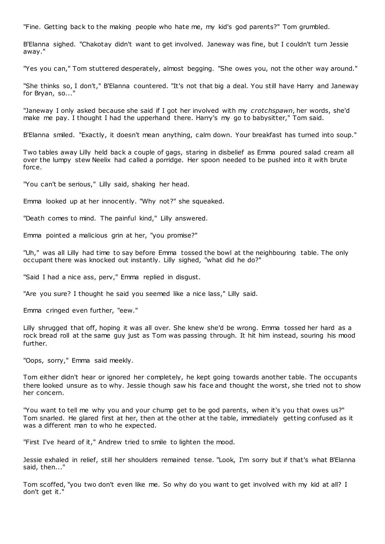"Fine. Getting back to the making people who hate me, my kid's god parents?" Tom grumbled.

B'Elanna sighed. "Chakotay didn't want to get involved. Janeway was fine, but I couldn't turn Jessie away."

"Yes you can," Tom stuttered desperately, almost begging. "She owes you, not the other way around."

"She thinks so, I don't," B'Elanna countered. "It's not that big a deal. You still have Harry and Janeway for Bryan, so..."

"Janeway I only asked because she said if I got her involved with my *crotchspawn*, her words, she'd make me pay. I thought I had the upperhand there. Harry's my go to babysitter," Tom said.

B'Elanna smiled. "Exactly, it doesn't mean anything, calm down. Your breakfast has turned into soup."

Two tables away Lilly held back a couple of gags, staring in disbelief as Emma poured salad cream all over the lumpy stew Neelix had called a porridge. Her spoon needed to be pushed into it with brute force.

"You can't be serious," Lilly said, shaking her head.

Emma looked up at her innocently. "Why not?" she squeaked.

"Death comes to mind. The painful kind," Lilly answered.

Emma pointed a malicious grin at her, "you promise?"

"Uh," was all Lilly had time to say before Emma tossed the bowl at the neighbouring table. The only occupant there was knocked out instantly. Lilly sighed, "what did he do?"

"Said I had a nice ass, perv," Emma replied in disgust.

"Are you sure? I thought he said you seemed like a nice lass," Lilly said.

Emma cringed even further, "eew."

Lilly shrugged that off, hoping it was all over. She knew she'd be wrong. Emma tossed her hard as a rock bread roll at the same guy just as Tom was passing through. It hit him instead, souring his mood further.

"Oops, sorry," Emma said meekly.

Tom either didn't hear or ignored her completely, he kept going towards another table. The occupants there looked unsure as to why. Jessie though saw his face and thought the worst, she tried not to show her concern.

"You want to tell me why you and your chump get to be god parents, when it's you that owes us?" Tom snarled. He glared first at her, then at the other at the table, immediately getting confused as it was a different man to who he expected.

"First I've heard of it," Andrew tried to smile to lighten the mood.

Jessie exhaled in relief, still her shoulders remained tense. "Look, I'm sorry but if that's what B'Elanna said, then..."

Tom scoffed, "you two don't even like me. So why do you want to get involved with my kid at all? I don't get it."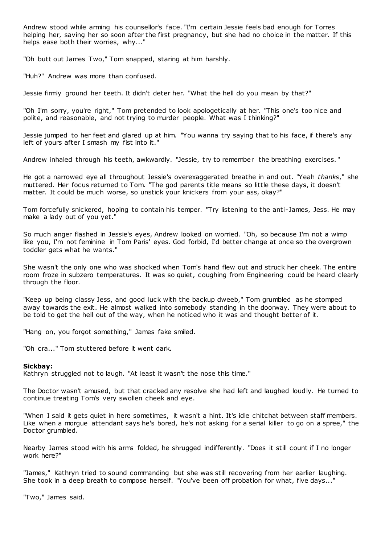Andrew stood while arming his counsellor's face. "I'm certain Jessie feels bad enough for Torres helping her, saving her so soon after the first pregnancy, but she had no choice in the matter. If this helps ease both their worries, why..."

"Oh butt out James Two," Tom snapped, staring at him harshly.

"Huh?" Andrew was more than confused.

Jessie firmly ground her teeth. It didn't deter her. "What the hell do you mean by that?"

"Oh I'm sorry, you're right," Tom pretended to look apologetically at her. "This one's too nice and polite, and reasonable, and not trying to murder people. What was I thinking?"

Jessie jumped to her feet and glared up at him. "You wanna try saying that to his face, if there's any left of yours after I smash my fist into it."

Andrew inhaled through his teeth, awkwardly. "Jessie, try to remember the breathing exercises. "

He got a narrowed eye all throughout Jessie's overexaggerated breathe in and out. "Yeah *thanks*," she muttered. Her focus returned to Tom. "The god parents title means so little these days, it doesn't matter. It could be much worse, so unstick your knickers from your ass, okay?"

Tom forcefully snickered, hoping to contain his temper. "Try listening to the anti-James, Jess. He may make a lady out of you yet."

So much anger flashed in Jessie's eyes, Andrew looked on worried. "Oh, so because I'm not a wimp like you, I'm not feminine in Tom Paris' eyes. God forbid, I'd better change at once so the overgrown toddler gets what he wants."

She wasn't the only one who was shocked when Tom's hand flew out and struck her cheek. The entire room froze in subzero temperatures. It was so quiet, coughing from Engineering could be heard clearly through the floor.

"Keep up being classy Jess, and good luck with the backup dweeb," Tom grumbled as he stomped away towards the exit. He almost walked into somebody standing in the doorway. They were about to be told to get the hell out of the way, when he noticed who it was and thought better of it.

"Hang on, you forgot something," James fake smiled.

"Oh cra..." Tom stuttered before it went dark.

# **Sickbay:**

Kathryn struggled not to laugh. "At least it wasn't the nose this time."

The Doctor wasn't amused, but that cracked any resolve she had left and laughed loudly. He turned to continue treating Tom's very swollen cheek and eye.

"When I said it gets quiet in here sometimes, it wasn't a hint. It's idle chitchat between staff members. Like when a morgue attendant says he's bored, he's not asking for a serial killer to go on a spree," the Doctor grumbled.

Nearby James stood with his arms folded, he shrugged indifferently. "Does it still count if I no longer work here?"

"James," Kathryn tried to sound commanding but she was still recovering from her earlier laughing. She took in a deep breath to compose herself. "You've been off probation for what, five days..."

"Two," James said.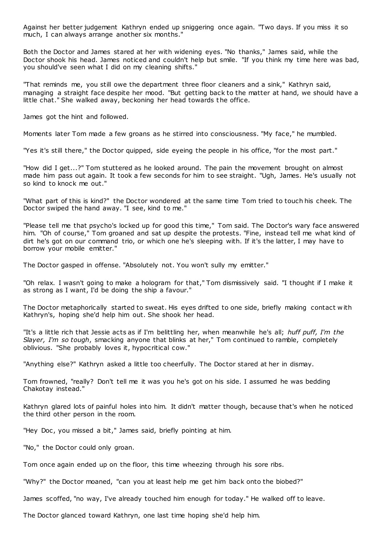Against her better judgement Kathryn ended up sniggering once again. "Two days. If you miss it so much, I can always arrange another six months."

Both the Doctor and James stared at her with widening eyes. "No thanks," James said, while the Doctor shook his head. James noticed and couldn't help but smile. "If you think my time here was bad, you should've seen what I did on my cleaning shifts."

"That reminds me, you still owe the department three floor cleaners and a sink," Kathryn said, managing a straight face despite her mood. "But getting back to the matter at hand, we should have a little chat." She walked away, beckoning her head towards the office.

James got the hint and followed.

Moments later Tom made a few groans as he stirred into consciousness. "My face," he mumbled.

"Yes it's still there," the Doctor quipped, side eyeing the people in his office, "for the most part."

"How did I get...?" Tom stuttered as he looked around. The pain the movement brought on almost made him pass out again. It took a few seconds for him to see straight. "Ugh, James. He's usually not so kind to knock me out."

"What part of this is kind?" the Doctor wondered at the same time Tom tried to touch his cheek. The Doctor swiped the hand away. "I see, kind to me."

"Please tell me that psycho's locked up for good this time," Tom said. The Doctor's wary face answered him. "Oh of course," Tom groaned and sat up despite the protests. "Fine, instead tell me what kind of dirt he's got on our command trio, or which one he's sleeping with. If it's the latter, I may have to borrow your mobile emitter."

The Doctor gasped in offense. "Absolutely not. You won't sully my emitter."

"Oh relax. I wasn't going to make a hologram for that," Tom dismissively said. "I thought if I make it as strong as I want, I'd be doing the ship a favour."

The Doctor metaphorically started to sweat. His eyes drifted to one side, briefly making contact w ith Kathryn's, hoping she'd help him out. She shook her head.

"It's a little rich that Jessie acts as if I'm belittling her, when meanwhile he's all; *huff puff, I'm the Slayer, I'm so tough*, smacking anyone that blinks at her," Tom continued to ramble, completely oblivious. "She probably loves it, hypocritical cow."

"Anything else?" Kathryn asked a little too cheerfully. The Doctor stared at her in dismay.

Tom frowned, "really? Don't tell me it was you he's got on his side. I assumed he was bedding Chakotay instead."

Kathryn glared lots of painful holes into him. It didn't matter though, because that's when he noticed the third other person in the room.

"Hey Doc, you missed a bit," James said, briefly pointing at him.

"No," the Doctor could only groan.

Tom once again ended up on the floor, this time wheezing through his sore ribs.

"Why?" the Doctor moaned, "can you at least help me get him back onto the biobed?"

James scoffed, "no way, I've already touched him enough for today." He walked off to leave.

The Doctor glanced toward Kathryn, one last time hoping she'd help him.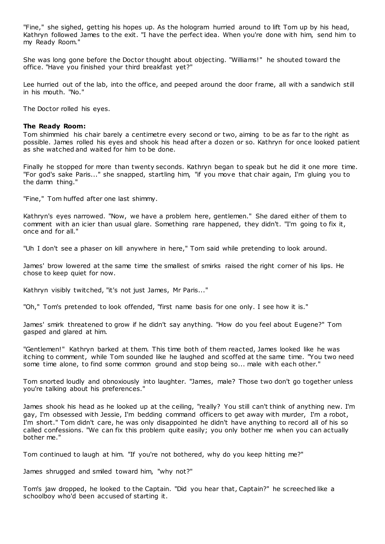"Fine," she sighed, getting his hopes up. As the hologram hurried around to lift Tom up by his head, Kathryn followed James to the exit. "I have the perfect idea. When you're done with him, send him to my Ready Room."

She was long gone before the Doctor thought about objecting. "Williams!" he shouted toward the office. "Have you finished your third breakfast yet?"

Lee hurried out of the lab, into the office, and peeped around the door frame, all with a sandwich still in his mouth. "No."

The Doctor rolled his eyes.

## **The Ready Room:**

Tom shimmied his chair barely a centimetre every second or two, aiming to be as far to the right as possible. James rolled his eyes and shook his head after a dozen or so. Kathryn for once looked patient as she watched and waited for him to be done.

Finally he stopped for more than twenty seconds. Kathryn began to speak but he did it one more time. "For god's sake Paris..." she snapped, startling him, "if you move that chair again, I'm gluing you to the damn thing."

"Fine," Tom huffed after one last shimmy.

Kathryn's eyes narrowed. "Now, we have a problem here, gentlemen." She dared either of them to comment with an icier than usual glare. Something rare happened, they didn't. "I'm going to fix it, once and for all."

"Uh I don't see a phaser on kill anywhere in here," Tom said while pretending to look around.

James' brow lowered at the same time the smallest of smirks raised the right corner of his lips. He chose to keep quiet for now.

Kathryn visibly twitched, "it's not just James, Mr Paris..."

"Oh," Tom's pretended to look offended, "first name basis for one only. I see how it is."

James' smirk threatened to grow if he didn't say anything. "How do you feel about Eugene?" Tom gasped and glared at him.

"Gentlemen!" Kathryn barked at them. This time both of them reacted, James looked like he was itching to comment, while Tom sounded like he laughed and scoffed at the same time. "You two need some time alone, to find some common ground and stop being so... male with each other."

Tom snorted loudly and obnoxiously into laughter. "James, male? Those two don't go together unless you're talking about his preferences."

James shook his head as he looked up at the ceiling, "really? You still can't think of anything new. I'm gay, I'm obsessed with Jessie, I'm bedding command officers to get away with murder, I'm a robot, I'm short." Tom didn't care, he was only disappointed he didn't have anything to record all of his so called confessions. "We can fix this problem quite easily; you only bother me when you can actually bother me."

Tom continued to laugh at him. "If you're not bothered, why do you keep hitting me?"

James shrugged and smiled toward him, "why not?"

Tom's jaw dropped, he looked to the Captain. "Did you hear that, Captain?" he screeched like a schoolboy who'd been accused of starting it.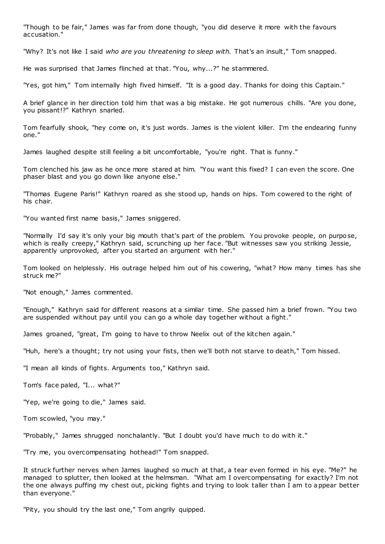"Though to be fair," James was far from done though, "you did deserve it more with the favours accusation."

"Why? It's not like I said *who are you threatening to sleep with.* That's an insult," Tom snapped.

He was surprised that James flinched at that. "You, why...?" he stammered.

"Yes, got him," Tom internally high fived himself. "It is a good day. Thanks for doing this Captain."

A brief glance in her direction told him that was a big mistake. He got numerous chills. "Are you done, you pissant!?" Kathryn snarled.

Tom fearfully shook, "hey come on, it's just words. James is the violent killer. I'm the endearing funny one."

James laughed despite still feeling a bit uncomfortable, "you're right. That is funny."

Tom clenched his jaw as he once more stared at him. "You want this fixed? I can even the score. One phaser blast and you go down like anyone else."

"Thomas Eugene Paris!" Kathryn roared as she stood up, hands on hips. Tom cowered to the right of his chair.

"You wanted first name basis," James sniggered.

"Normally I'd say it's only your big mouth that's part of the problem. You provoke people, on purpose, which is really creepy," Kathryn said, scrunching up her face. "But witnesses saw you striking Jessie, apparently unprovoked, after you started an argument with her."

Tom looked on helplessly. His outrage helped him out of his cowering, "what? How many times has she struck me?"

"Not enough," James commented.

"Enough," Kathryn said for different reasons at a similar time. She passed him a brief frown. "You two are suspended without pay until you can go a whole day together without a fight."

James groaned, "great, I'm going to have to throw Neelix out of the kitchen again."

"Huh, here's a thought; try not using your fists, then we'll both not starve to death," Tom hissed.

"I mean all kinds of fights. Arguments too," Kathryn said.

Tom's face paled, "I... what?"

"Yep, we're going to die," James said.

Tom scowled, "you may."

"Probably," James shrugged nonchalantly. "But I doubt you'd have much to do with it."

"Try me, you overcompensating hothead!" Tom snapped.

It struck further nerves when James laughed so much at that, a tear even formed in his eye. "Me?" he managed to splutter, then looked at the helmsman. "What am I overcompensating for exactly? I'm not the one always puffing my chest out, picking fights and trying to look taller than I am to appear better than everyone."

"Pity, you should try the last one," Tom angrily quipped.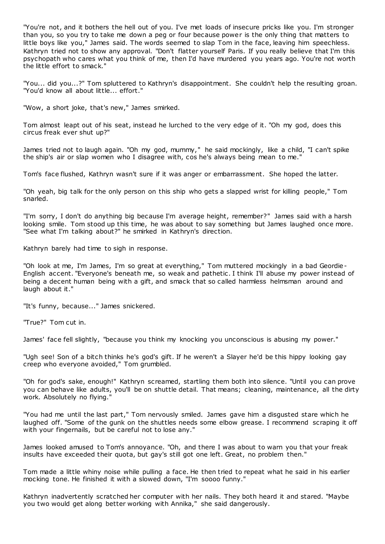"You're not, and it bothers the hell out of you. I've met loads of insecure pricks like you. I'm stronger than you, so you try to take me down a peg or four because power is the only thing that matters to little boys like you," James said. The words seemed to slap Tom in the face, leaving him speechless. Kathryn tried not to show any approval. "Don't flatter yourself Paris. If you really believe that I'm this psychopath who cares what you think of me, then I'd have murdered you years ago. You're not worth the little effort to smack."

"You... did you...?" Tom spluttered to Kathryn's disappointment. She couldn't help the resulting groan. "You'd know all about little... effort."

"Wow, a short joke, that's new," James smirked.

Tom almost leapt out of his seat, instead he lurched to the very edge of it. "Oh my god, does this circus freak ever shut up?"

James tried not to laugh again. "Oh my god, mummy," he said mockingly, like a child, "I can't spike the ship's air or slap women who I disagree with, cos he's always being mean to me."

Tom's face flushed, Kathryn wasn't sure if it was anger or embarrassment. She hoped the latter.

"Oh yeah, big talk for the only person on this ship who gets a slapped wrist for killing people," Tom snarled.

"I'm sorry, I don't do anything big because I'm average height, remember?" James said with a harsh looking smile. Tom stood up this time, he was about to say something but James laughed once more. "See what I'm talking about?" he smirked in Kathryn's direction.

Kathryn barely had time to sigh in response.

"Oh look at me, I'm James, I'm so great at everything," Tom muttered mockingly in a bad Geordie-English accent. "Everyone's beneath me, so weak and pathetic . I think I'll abuse my power instead of being a decent human being with a gift, and smack that so called harmless helmsman around and laugh about it."

"It's funny, because..." James snickered.

"True?" Tom cut in.

James' face fell slightly, "because you think my knocking you unconscious is abusing my power."

"Ugh see! Son of a bitch thinks he's god's gift. If he weren't a Slayer he'd be this hippy looking gay creep who everyone avoided," Tom grumbled.

"Oh for god's sake, enough!" Kathryn screamed, startling them both into silence. "Until you can prove you can behave like adults, you'll be on shuttle detail. That means; cleaning, maintenance, all the dirty work. Absolutely no flying."

"You had me until the last part," Tom nervously smiled. James gave him a disgusted stare which he laughed off. "Some of the gunk on the shuttles needs some elbow grease. I recommend scraping it off with your fingernails, but be careful not to lose any."

James looked amused to Tom's annoyance. "Oh, and there I was about to warn you that your freak insults have exceeded their quota, but gay's still got one left. Great, no problem then."

Tom made a little whiny noise while pulling a face. He then tried to repeat what he said in his earlier mocking tone. He finished it with a slowed down, "I'm soooo funny."

Kathryn inadvertently scratched her computer with her nails. They both heard it and stared. "Maybe you two would get along better working with Annika," she said dangerously.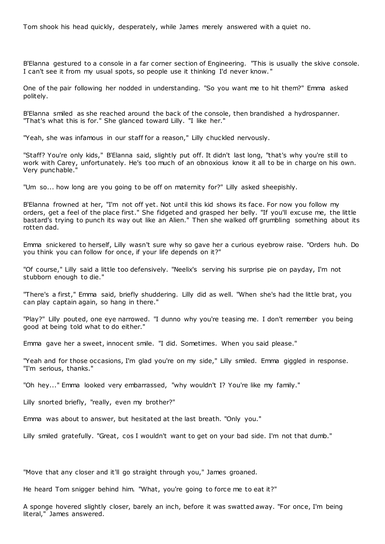Tom shook his head quickly, desperately, while James merely answered with a quiet no.

B'Elanna gestured to a console in a far corner section of Engineering. "This is usually the skive console. I can't see it from my usual spots, so people use it thinking I'd never know. "

One of the pair following her nodded in understanding. "So you want me to hit them?" Emma asked politely.

B'Elanna smiled as she reached around the back of the console, then brandished a hydrospanner. "That's what this is for." She glanced toward Lilly. "I like her."

"Yeah, she was infamous in our staff for a reason," Lilly chuckled nervously.

"Staff? You're only kids," B'Elanna said, slightly put off. It didn't last long, "that's why you're still to work with Carey, unfortunately. He's too much of an obnoxious know it all to be in charge on his own. Very punchable."

"Um so... how long are you going to be off on maternity for?" Lilly asked sheepishly.

B'Elanna frowned at her, "I'm not off yet. Not until this kid shows its face. For now you follow my orders, get a feel of the place first." She fidgeted and grasped her belly. "If you'll excuse me, the little bastard's trying to punch its way out like an Alien." Then she walked off grumbling something about its rotten dad.

Emma snickered to herself, Lilly wasn't sure why so gave her a curious eyebrow raise. "Orders huh. Do you think you can follow for once, if your life depends on it?"

"Of course," Lilly said a little too defensively. "Neelix's serving his surprise pie on payday, I'm not stubborn enough to die."

"There's a first," Emma said, briefly shuddering. Lilly did as well. "When she's had the little brat, you can play captain again, so hang in there."

"Play?" Lilly pouted, one eye narrowed. "I dunno why you're teasing me. I don't remember you being good at being told what to do either."

Emma gave her a sweet, innocent smile. "I did. Sometimes. When you said please."

"Yeah and for those occasions, I'm glad you're on my side," Lilly smiled. Emma giggled in response. "I'm serious, thanks."

"Oh hey..." Emma looked very embarrassed, "why wouldn't I? You're like my family."

Lilly snorted briefly, "really, even my brother?"

Emma was about to answer, but hesitated at the last breath. "Only you."

Lilly smiled gratefully. "Great, cos I wouldn't want to get on your bad side. I'm not that dumb."

"Move that any closer and it'll go straight through you," James groaned.

He heard Tom snigger behind him. "What, you're going to force me to eat it?"

A sponge hovered slightly closer, barely an inch, before it was swatted away. "For once, I'm being literal," James answered.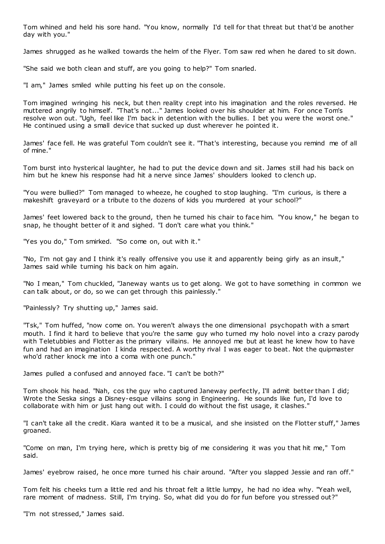Tom whined and held his sore hand. "You know, normally I'd tell for that threat but that'd be another day with you."

James shrugged as he walked towards the helm of the Flyer. Tom saw red when he dared to sit down.

"She said we both clean and stuff, are you going to help?" Tom snarled.

"I am," James smiled while putting his feet up on the console.

Tom imagined wringing his neck, but then reality crept into his imagination and the roles reversed. He muttered angrily to himself. "That's not..." James looked over his shoulder at him. For once Tom's resolve won out. "Ugh, feel like I'm back in detention with the bullies. I bet you were the worst one." He continued using a small device that sucked up dust wherever he pointed it.

James' face fell. He was grateful Tom couldn't see it. "That's interesting, because you remind me of all of mine."

Tom burst into hysterical laughter, he had to put the device down and sit. James still had his back on him but he knew his response had hit a nerve since James' shoulders looked to clench up.

"You were bullied?" Tom managed to wheeze, he coughed to stop laughing. "I'm curious, is there a makeshift graveyard or a tribute to the dozens of kids you murdered at your school?"

James' feet lowered back to the ground, then he turned his chair to face him. "You know," he began to snap, he thought better of it and sighed. "I don't care what you think."

"Yes you do," Tom smirked. "So come on, out with it."

"No, I'm not gay and I think it's really offensive you use it and apparently being girly as an insult," James said while turning his back on him again.

"No I mean," Tom chuckled, "Janeway wants us to get along. We got to have something in common we can talk about, or do, so we can get through this painlessly."

"Painlessly? Try shutting up," James said.

"Tsk," Tom huffed, "now come on. You weren't always the one dimensional psychopath with a smart mouth. I find it hard to believe that you're the same guy who turned my holo novel into a crazy parody with Teletubbies and Flotter as the primary villains. He annoyed me but at least he knew how to have fun and had an imagination I kinda respected. A worthy rival I was eager to beat. Not the quipmaster who'd rather knock me into a coma with one punch."

James pulled a confused and annoyed face. "I can't be both?"

Tom shook his head. "Nah, cos the guy who captured Janeway perfectly, I'll admit better than I did; Wrote the Seska sings a Disney-esque villains song in Engineering. He sounds like fun, I'd love to collaborate with him or just hang out with. I could do without the fist usage, it clashes."

"I can't take all the credit. Kiara wanted it to be a musical, and she insisted on the Flotter stuff," James groaned.

"Come on man, I'm trying here, which is pretty big of me considering it was you that hit me," Tom said.

James' eyebrow raised, he once more turned his chair around. "After you slapped Jessie and ran off."

Tom felt his cheeks turn a little red and his throat felt a little lumpy, he had no idea why. "Yeah well, rare moment of madness. Still, I'm trying. So, what did you do for fun before you stressed out?"

"I'm not stressed," James said.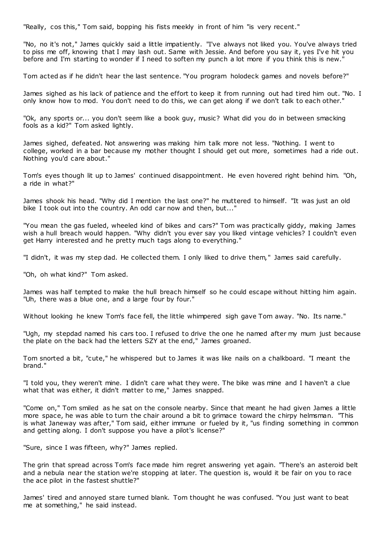"Really, cos this," Tom said, bopping his fists meekly in front of him "is very recent."

"No, no it's not," James quickly said a little impatiently. "I've always not liked you. You've always tried to piss me off, knowing that I may lash out. Same with Jessie. And before you say it, yes I'v e hit you before and I'm starting to wonder if I need to soften my punch a lot more if you think this is new.

Tom acted as if he didn't hear the last sentence. "You program holodeck games and novels before?"

James sighed as his lack of patience and the effort to keep it from running out had tired him out. "No. I only know how to mod. You don't need to do this, we can get along if we don't talk to each other."

"Ok, any sports or... you don't seem like a book guy, music? What did you do in between smacking fools as a kid?" Tom asked lightly.

James sighed, defeated. Not answering was making him talk more not less. "Nothing. I went to college, worked in a bar because my mother thought I should get out more, sometimes had a ride out. Nothing you'd care about."

Tom's eyes though lit up to James' continued disappointment. He even hovered right behind him. "Oh, a ride in what?"

James shook his head. "Why did I mention the last one?" he muttered to himself. "It was just an old bike I took out into the country. An odd car now and then, but..."

"You mean the gas fueled, wheeled kind of bikes and cars?" Tom was practically giddy, making James wish a hull breach would happen. "Why didn't you ever say you liked vintage vehicles? I couldn't even get Harry interested and he pretty much tags along to everything."

"I didn't, it was my step dad. He collected them. I only liked to drive them," James said carefully.

"Oh, oh what kind?" Tom asked.

James was half tempted to make the hull breach himself so he could escape without hitting him again. "Uh, there was a blue one, and a large four by four."

Without looking he knew Tom's face fell, the little whimpered sigh gave Tom away. "No. Its name."

"Ugh, my stepdad named his cars too. I refused to drive the one he named after my mum just because the plate on the back had the letters SZY at the end," James groaned.

Tom snorted a bit, "cute," he whispered but to James it was like nails on a chalkboard. "I meant the brand."

"I told you, they weren't mine. I didn't care what they were. The bike was mine and I haven't a clue what that was either, it didn't matter to me," James snapped.

"Come on," Tom smiled as he sat on the console nearby. Since that meant he had given James a little more space, he was able to turn the chair around a bit to grimace toward the chirpy helmsman. "This is what Janeway was after," Tom said, either immune or fueled by it, "us finding something in common and getting along. I don't suppose you have a pilot's license?"

"Sure, since I was fifteen, why?" James replied.

The grin that spread across Tom's face made him regret answering yet again. "There's an asteroid belt and a nebula near the station we're stopping at later. The question is, would it be fair on you to race the ace pilot in the fastest shuttle?"

James' tired and annoyed stare turned blank. Tom thought he was confused. "You just want to beat me at something," he said instead.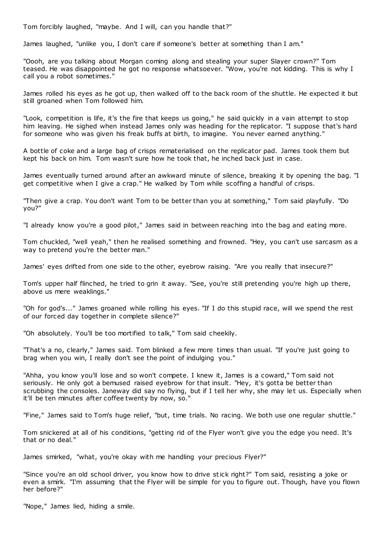Tom forcibly laughed, "maybe. And I will, can you handle that?"

James laughed, "unlike you, I don't care if someone's better at something than I am."

"Oooh, are you talking about Morgan coming along and stealing your super Slayer crown?" Tom teased. He was disappointed he got no response whatsoever. "Wow, you're not kidding. This is why I call you a robot sometimes."

James rolled his eyes as he got up, then walked off to the back room of the shuttle. He expected it but still groaned when Tom followed him.

"Look, competition is life, it's the fire that keeps us going," he said quickly in a vain attempt to stop him leaving. He sighed when instead James only was heading for the replicator. "I suppose that's hard for someone who was given his freak buffs at birth, to imagine. You never earned anything."

A bottle of coke and a large bag of crisps rematerialised on the replicator pad. James took them but kept his back on him. Tom wasn't sure how he took that, he inched back just in case.

James eventually turned around after an awkward minute of silence, breaking it by opening the bag. "I get competitive when I give a crap." He walked by Tom while scoffing a handful of crisps.

"Then give a crap. You don't want Tom to be better than you at something," Tom said playfully. "Do you?"

"I already know you're a good pilot," James said in between reaching into the bag and eating more.

Tom chuckled, "well yeah," then he realised something and frowned. "Hey, you can't use sarcasm as a way to pretend you're the better man."

James' eyes drifted from one side to the other, eyebrow raising. "Are you really that insecure?"

Tom's upper half flinched, he tried to grin it away. "See, you're still pretending you're high up there, above us mere weaklings."

"Oh for god's..." James groaned while rolling his eyes. "If I do this stupid race, will we spend the rest of our forced day together in complete silence?"

"Oh absolutely. You'll be too mortified to talk," Tom said cheekily.

"That's a no, clearly," James said. Tom blinked a few more times than usual. "If you're just going to brag when you win, I really don't see the point of indulging you."

"Ahha, you know you'll lose and so won't compete. I knew it, James is a coward," Tom said not seriously. He only got a bemused raised eyebrow for that insult. "Hey, it's gotta be better than scrubbing the consoles. Janeway did say no flying, but if I tell her why, she may let us. Especially when it'll be ten minutes after coffee twenty by now, so."

"Fine," James said to Tom's huge relief, "but, time trials. No racing. We both use one regular shuttle."

Tom snickered at all of his conditions, "getting rid of the Flyer won't give you the edge you need. It's that or no deal."

James smirked, "what, you're okay with me handling your precious Flyer?"

"Since you're an old school driver, you know how to drive stick right?" Tom said, resisting a joke or even a smirk. "I'm assuming that the Flyer will be simple for you to figure out. Though, have you flown her before?"

"Nope," James lied, hiding a smile.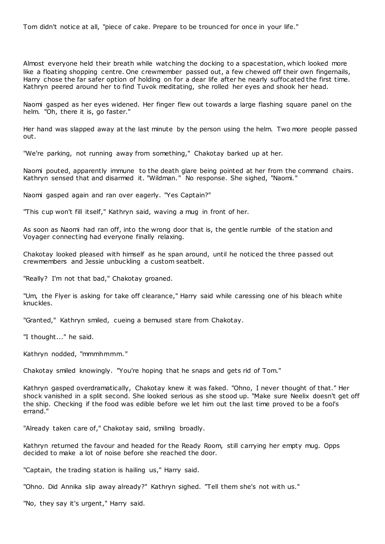Tom didn't notice at all, "piece of cake. Prepare to be trounced for once in your life."

Almost everyone held their breath while watching the docking to a spacestation, which looked more like a floating shopping centre. One crewmember passed out, a few chewed off their own fingernails, Harry chose the far safer option of holding on for a dear life after he nearly suffocated the first time. Kathryn peered around her to find Tuvok meditating, she rolled her eyes and shook her head.

Naomi gasped as her eyes widened. Her finger flew out towards a large flashing square panel on the helm. "Oh, there it is, go faster."

Her hand was slapped away at the last minute by the person using the helm. Two more people passed out.

"We're parking, not running away from something," Chakotay barked up at her.

Naomi pouted, apparently immune to the death glare being pointed at her from the command chairs. Kathryn sensed that and disarmed it. "Wildman." No response. She sighed, "Naomi."

Naomi gasped again and ran over eagerly. "Yes Captain?"

"This cup won't fill itself," Kathryn said, waving a mug in front of her.

As soon as Naomi had ran off, into the wrong door that is, the gentle rumble of the station and Voyager connecting had everyone finally relaxing.

Chakotay looked pleased with himself as he span around, until he noticed the three passed out crewmembers and Jessie unbuckling a custom seatbelt.

"Really? I'm not that bad," Chakotay groaned.

"Um, the Flyer is asking for take off clearance," Harry said while caressing one of his bleach white knuckles.

"Granted," Kathryn smiled, cueing a bemused stare from Chakotay.

"I thought..." he said.

Kathryn nodded, "mmmhmmm."

Chakotay smiled knowingly. "You're hoping that he snaps and gets rid of Tom."

Kathryn gasped overdramatically, Chakotay knew it was faked. "Ohno, I never thought of that." Her shock vanished in a split second. She looked serious as she stood up. "Make sure Neelix doesn't get off the ship. Checking if the food was edible before we let him out the last time proved to be a fool's errand."

"Already taken care of," Chakotay said, smiling broadly.

Kathryn returned the favour and headed for the Ready Room, still carrying her empty mug. Opps decided to make a lot of noise before she reached the door.

"Captain, the trading station is hailing us," Harry said.

"Ohno. Did Annika slip away already?" Kathryn sighed. "Tell them she's not with us."

"No, they say it's urgent," Harry said.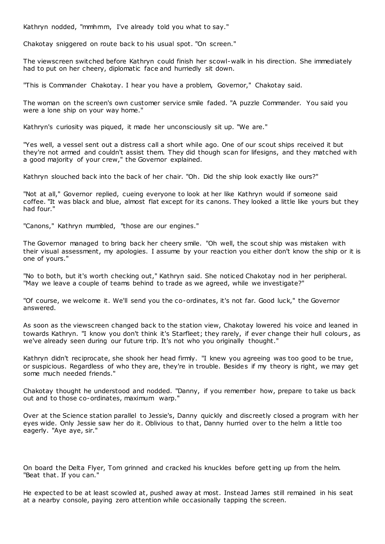Kathryn nodded, "mmhmm, I've already told you what to say."

Chakotay sniggered on route back to his usual spot. "On screen."

The viewscreen switched before Kathryn could finish her scowl-walk in his direction. She immediately had to put on her cheery, diplomatic face and hurriedly sit down.

"This is Commander Chakotay. I hear you have a problem, Governor," Chakotay said.

The woman on the screen's own customer service smile faded. "A puzzle Commander. You said you were a lone ship on your way home."

Kathryn's curiosity was piqued, it made her unconsciously sit up. "We are."

"Yes well, a vessel sent out a distress call a short while ago. One of our scout ships received it but they're not armed and couldn't assist them. They did though scan for lifesigns, and they matched with a good majority of your crew," the Governor explained.

Kathryn slouched back into the back of her chair. "Oh. Did the ship look exactly like ours?"

"Not at all," Governor replied, cueing everyone to look at her like Kathryn would if someone said coffee. "It was black and blue, almost flat except for its canons. They looked a little like yours but they had four."

"Canons," Kathryn mumbled, "those are our engines."

The Governor managed to bring back her cheery smile. "Oh well, the scout ship was mistaken with their visual assessment, my apologies. I assume by your reaction you either don't know the ship or it is one of yours."

"No to both, but it's worth checking out," Kathryn said. She noticed Chakotay nod in her peripheral. "May we leave a couple of teams behind to trade as we agreed, while we investigate?"

"Of course, we welcome it. We'll send you the co-ordinates, it's not far. Good luck," the Governor answered.

As soon as the viewscreen changed back to the station view, Chakotay lowered his voice and leaned in towards Kathryn. "I know you don't think it's Starfleet; they rarely, if ever change their hull colours , as we've already seen during our future trip. It's not who you originally thought."

Kathryn didn't reciprocate, she shook her head firmly. "I knew you agreeing was too good to be true, or suspicious. Regardless of who they are, they're in trouble. Besides if my theory is right, we may get some much needed friends."

Chakotay thought he understood and nodded. "Danny, if you remember how, prepare to take us back out and to those co-ordinates, maximum warp."

Over at the Science station parallel to Jessie's, Danny quickly and discreetly closed a program with her eyes wide. Only Jessie saw her do it. Oblivious to that, Danny hurried over to the helm a little too eagerly. "Aye aye, sir."

On board the Delta Flyer, Tom grinned and cracked his knuckles before getting up from the helm. "Beat that. If you can."

He expected to be at least scowled at, pushed away at most. Instead James still remained in his seat at a nearby console, paying zero attention while occasionally tapping the screen.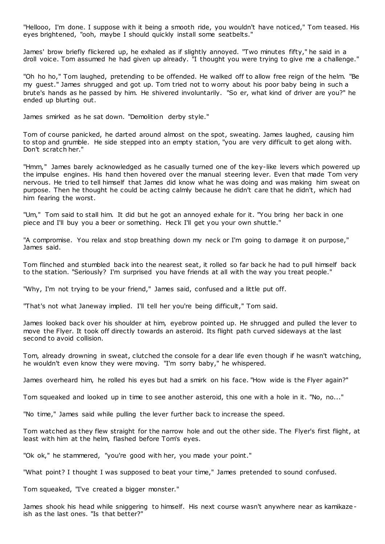"Hellooo, I'm done. I suppose with it being a smooth ride, you wouldn't have noticed," Tom teased. His eyes brightened, "ooh, maybe I should quickly install some seatbelts."

James' brow briefly flickered up, he exhaled as if slightly annoyed. "Two minutes fifty," he said in a droll voice. Tom assumed he had given up already. "I thought you were trying to give me a challenge."

"Oh ho ho," Tom laughed, pretending to be offended. He walked off to allow free reign of the helm. "Be my guest." James shrugged and got up. Tom tried not to worry about his poor baby being in such a brute's hands as he passed by him. He shivered involuntarily. "So er, what kind of driver are you?" he ended up blurting out.

James smirked as he sat down. "Demolition derby style."

Tom of course panicked, he darted around almost on the spot, sweating. James laughed, causing him to stop and grumble. He side stepped into an empty station, "you are very difficult to get along with. Don't scratch her."

"Hmm," James barely acknowledged as he casually turned one of the key-like levers which powered up the impulse engines. His hand then hovered over the manual steering lever. Even that made Tom very nervous. He tried to tell himself that James did know what he was doing and was making him sweat on purpose. Then he thought he could be acting calmly because he didn't care that he didn't, which had him fearing the worst.

"Um," Tom said to stall him. It did but he got an annoyed exhale for it. "You bring her back in one piece and I'll buy you a beer or something. Heck I'll get you your own shuttle."

"A compromise. You relax and stop breathing down my neck or I'm going to damage it on purpose," James said.

Tom flinched and stumbled back into the nearest seat, it rolled so far back he had to pull himself back to the station. "Seriously? I'm surprised you have friends at all with the way you treat people."

"Why, I'm not trying to be your friend," James said, confused and a little put off.

"That's not what Janeway implied. I'll tell her you're being difficult," Tom said.

James looked back over his shoulder at him, eyebrow pointed up. He shrugged and pulled the lever to move the Flyer. It took off directly towards an asteroid. Its flight path curved sideways at the last second to avoid collision.

Tom, already drowning in sweat, clutched the console for a dear life even though if he wasn't watching, he wouldn't even know they were moving. "I'm sorry baby," he whispered.

James overheard him, he rolled his eyes but had a smirk on his face. "How wide is the Flyer again?"

Tom squeaked and looked up in time to see another asteroid, this one with a hole in it. "No, no..."

"No time," James said while pulling the lever further back to increase the speed.

Tom watched as they flew straight for the narrow hole and out the other side. The Flyer's first flight, at least with him at the helm, flashed before Tom's eyes.

"Ok ok," he stammered, "you're good with her, you made your point."

"What point? I thought I was supposed to beat your time," James pretended to sound confused.

Tom squeaked, "I've created a bigger monster."

James shook his head while sniggering to himself. His next course wasn't anywhere near as kamikaze ish as the last ones. "Is that better?"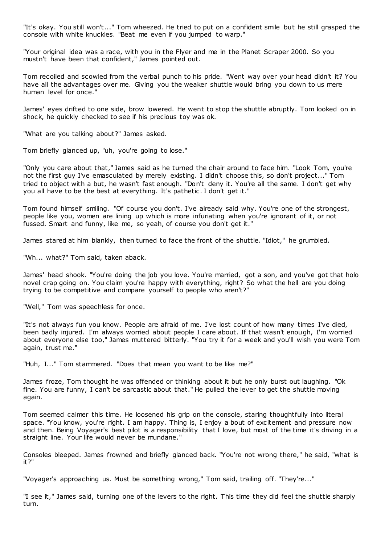"It's okay. You still won't..." Tom wheezed. He tried to put on a confident smile but he still grasped the console with white knuckles. "Beat me even if you jumped to warp."

"Your original idea was a race, with you in the Flyer and me in the Planet Scraper 2000. So you mustn't have been that confident," James pointed out.

Tom recoiled and scowled from the verbal punch to his pride. "Went way over your head didn't it? You have all the advantages over me. Giving you the weaker shuttle would bring you down to us mere human level for once."

James' eyes drifted to one side, brow lowered. He went to stop the shuttle abruptly. Tom looked on in shock, he quickly checked to see if his precious toy was ok.

"What are you talking about?" James asked.

Tom briefly glanced up, "uh, you're going to lose."

"Only you care about that," James said as he turned the chair around to face him. "Look Tom, you're not the first guy I've emasculated by merely existing. I didn't choose this, so don't project..." Tom tried to object with a but, he wasn't fast enough. "Don't deny it. You're all the same. I don't get why you all have to be the best at everything. It's pathetic . I don't get it."

Tom found himself smiling. "Of course you don't. I've already said why. You're one of the strongest, people like you, women are lining up which is more infuriating when you're ignorant of it, or not fussed. Smart and funny, like me, so yeah, of course you don't get it."

James stared at him blankly, then turned to face the front of the shuttle. "Idiot," he grumbled.

"Wh... what?" Tom said, taken aback.

James' head shook. "You're doing the job you love. You're married, got a son, and you've got that holo novel crap going on. You claim you're happy with everything, right? So what the hell are you doing trying to be competitive and compare yourself to people who aren't?"

"Well," Tom was speechless for once.

"It's not always fun you know. People are afraid of me. I've lost count of how many times I've died, been badly injured. I'm always worried about people I care about. If that wasn't enough, I'm worried about everyone else too," James muttered bitterly. "You try it for a week and you'll wish you were Tom again, trust me."

"Huh, I..." Tom stammered. "Does that mean you want to be like me?"

James froze, Tom thought he was offended or thinking about it but he only burst out laughing. "Ok fine. You are funny, I can't be sarcastic about that." He pulled the lever to get the shuttle moving again.

Tom seemed calmer this time. He loosened his grip on the console, staring thoughtfully into literal space. "You know, you're right. I am happy. Thing is, I enjoy a bout of excitement and pressure now and then. Being Voyager's best pilot is a responsibility that I love, but most of the time it's driving in a straight line. Your life would never be mundane."

Consoles bleeped. James frowned and briefly glanced back. "You're not wrong there," he said, "what is it?"

"Voyager's approaching us. Must be something wrong," Tom said, trailing off. "They're..."

"I see it," James said, turning one of the levers to the right. This time they did feel the shuttle sharply turn.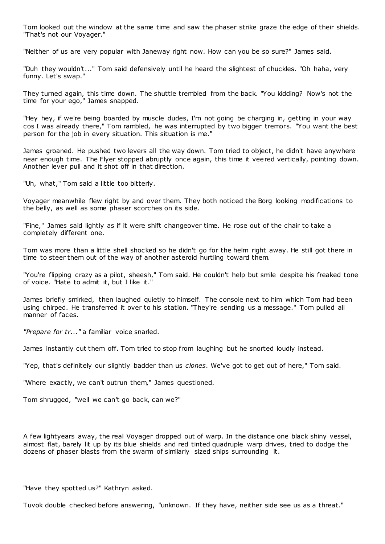Tom looked out the window at the same time and saw the phaser strike graze the edge of their shields. "That's not our Voyager."

"Neither of us are very popular with Janeway right now. How can you be so sure?" James said.

"Duh they wouldn't..." Tom said defensively until he heard the slightest of chuckles. "Oh haha, very funny. Let's swap."

They turned again, this time down. The shuttle trembled from the back. "You kidding? Now's not the time for your ego," James snapped.

"Hey hey, if we're being boarded by muscle dudes, I'm not going be charging in, getting in your way cos I was already there," Tom rambled, he was interrupted by two bigger tremors. "You want the best person for the job in every situation. This situation is me."

James groaned. He pushed two levers all the way down. Tom tried to object, he didn't have anywhere near enough time. The Flyer stopped abruptly once again, this time it veered vertically, pointing down. Another lever pull and it shot off in that direction.

"Uh, what," Tom said a little too bitterly.

Voyager meanwhile flew right by and over them. They both noticed the Borg looking modifications to the belly, as well as some phaser scorches on its side.

"Fine," James said lightly as if it were shift changeover time. He rose out of the chair to take a completely different one.

Tom was more than a little shell shocked so he didn't go for the helm right away. He still got there in time to steer them out of the way of another asteroid hurtling toward them.

"You're flipping crazy as a pilot, sheesh," Tom said. He couldn't help but smile despite his freaked tone of voice. "Hate to admit it, but I like it."

James briefly smirked, then laughed quietly to himself. The console next to him which Tom had been using chirped. He transferred it over to his station. "They're sending us a message." Tom pulled all manner of faces.

*"Prepare for tr..."* a familiar voice snarled.

James instantly cut them off. Tom tried to stop from laughing but he snorted loudly instead.

"Yep, that's definitely our slightly badder than us *clones*. We've got to get out of here," Tom said.

"Where exactly, we can't outrun them," James questioned.

Tom shrugged, "well we can't go back, can we?"

A few lightyears away, the real Voyager dropped out of warp. In the distance one black shiny vessel, almost flat, barely lit up by its blue shields and red tinted quadruple warp drives, tried to dodge the dozens of phaser blasts from the swarm of similarly sized ships surrounding it.

"Have they spotted us?" Kathryn asked.

Tuvok double checked before answering, "unknown. If they have, neither side see us as a threat."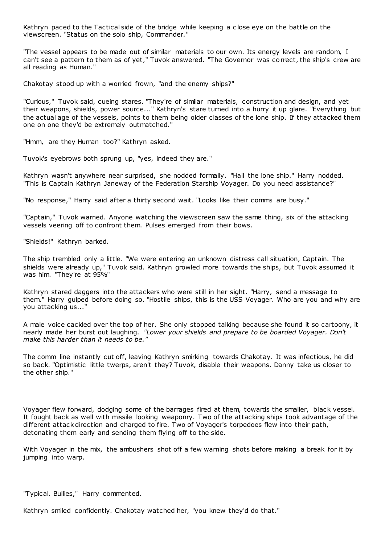Kathryn paced to the Tactical side of the bridge while keeping a c lose eye on the battle on the viewscreen. "Status on the solo ship, Commander."

"The vessel appears to be made out of similar materials to our own. Its energy levels are random, I can't see a pattern to them as of yet," Tuvok answered. "The Governor was correct, the ship's crew are all reading as Human."

Chakotay stood up with a worried frown, "and the enemy ships?"

"Curious," Tuvok said, cueing stares. "They're of similar materials, construction and design, and yet their weapons, shields, power source..." Kathryn's stare turned into a hurry it up glare. "Everything but the actual age of the vessels, points to them being older classes of the lone ship. If they attacked them one on one they'd be extremely outmatched."

"Hmm, are they Human too?" Kathryn asked.

Tuvok's eyebrows both sprung up, "yes, indeed they are."

Kathryn wasn't anywhere near surprised, she nodded formally. "Hail the lone ship." Harry nodded. "This is Captain Kathryn Janeway of the Federation Starship Voyager. Do you need assistance?"

"No response," Harry said after a thirty second wait. "Looks like their comms are busy."

"Captain," Tuvok warned. Anyone watching the viewscreen saw the same thing, six of the attacking vessels veering off to confront them. Pulses emerged from their bows.

"Shields!" Kathryn barked.

The ship trembled only a little. "We were entering an unknown distress call situation, Captain. The shields were already up," Tuvok said. Kathryn growled more towards the ships, but Tuvok assumed it was him. "They're at 95%"

Kathryn stared daggers into the attackers who were still in her sight. "Harry, send a message to them." Harry gulped before doing so. "Hostile ships, this is the USS Voyager. Who are you and why are you attacking us..."

A male voice cackled over the top of her. She only stopped talking because she found it so cartoony, it nearly made her burst out laughing. *"Lower your shields and prepare to be boarded Voyager. Don't make this harder than it needs to be."*

The comm line instantly cut off, leaving Kathryn smirking towards Chakotay. It was infectious, he did so back. "Optimistic little twerps, aren't they? Tuvok, disable their weapons. Danny take us closer to the other ship."

Voyager flew forward, dodging some of the barrages fired at them, towards the smaller, black vessel. It fought back as well with missile looking weaponry. Two of the attacking ships took advantage of the different attack direction and charged to fire. Two of Voyager's torpedoes flew into their path, detonating them early and sending them flying off to the side.

With Voyager in the mix, the ambushers shot off a few warning shots before making a break for it by jumping into warp.

"Typical. Bullies," Harry commented.

Kathryn smiled confidently. Chakotay watched her, "you knew they'd do that."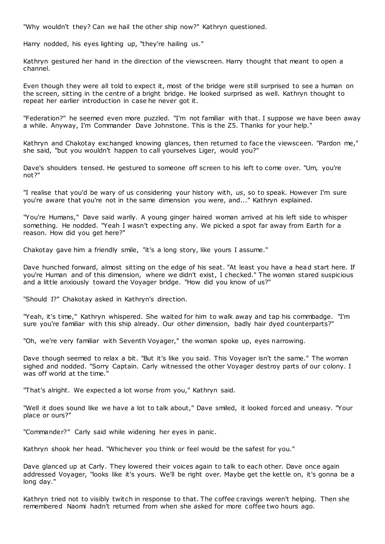"Why wouldn't they? Can we hail the other ship now?" Kathryn questioned.

Harry nodded, his eyes lighting up, "they're hailing us."

Kathryn gestured her hand in the direction of the viewscreen. Harry thought that meant to open a channel.

Even though they were all told to expect it, most of the bridge were still surprised to see a human on the screen, sitting in the centre of a bright bridge. He looked surprised as well. Kathryn thought to repeat her earlier introduction in case he never got it.

"Federation?" he seemed even more puzzled. "I'm not familiar with that. I suppose we have been away a while. Anyway, I'm Commander Dave Johnstone. This is the Z5. Thanks for your help."

Kathryn and Chakotay exchanged knowing glances, then returned to face the viewsceen. "Pardon me," she said, "but you wouldn't happen to call yourselves Liger, would you?"

Dave's shoulders tensed. He gestured to someone off screen to his left to come over. "Um, you're not?"

"I realise that you'd be wary of us considering your history with, *us*, so to speak. However I'm sure you're aware that you're not in the same dimension you were, and..." Kathryn explained.

"You're Humans," Dave said warily. A young ginger haired woman arrived at his left side to whisper something. He nodded. "Yeah I wasn't expecting any. We picked a spot far away from Earth for a reason. How did you get here?"

Chakotay gave him a friendly smile, "it's a long story, like yours I assume."

Dave hunched forward, almost sitting on the edge of his seat. "At least you have a head start here. If you're Human and of this dimension, where we didn't exist, I checked." The woman stared suspicious and a little anxiously toward the Voyager bridge. "How did you know of us?"

"Should I?" Chakotay asked in Kathryn's direction.

"Yeah, it's time," Kathryn whispered. She waited for him to walk away and tap his commbadge. "I'm sure you're familiar with this ship already. Our other dimension, badly hair dyed counterparts?"

"Oh, we're very familiar with Seventh Voyager," the woman spoke up, eyes narrowing.

Dave though seemed to relax a bit. "But it's like you said. This Voyager isn't the same." The woman sighed and nodded. "Sorry Captain. Carly witnessed the other Voyager destroy parts of our colony. I was off world at the time.

"That's alright. We expected a lot worse from you," Kathryn said.

"Well it does sound like we have a lot to talk about," Dave smiled, it looked forced and uneasy. "Your place or ours?"

"Commander?" Carly said while widening her eyes in panic .

Kathryn shook her head. "Whichever you think or feel would be the safest for you."

Dave glanced up at Carly. They lowered their voices again to talk to each other. Dave once again addressed Voyager, "looks like it's yours. We'll be right over. Maybe get the kettle on, it's gonna be a long day."

Kathryn tried not to visibly twitch in response to that. The coffee cravings weren't helping. Then she remembered Naomi hadn't returned from when she asked for more coffee two hours ago.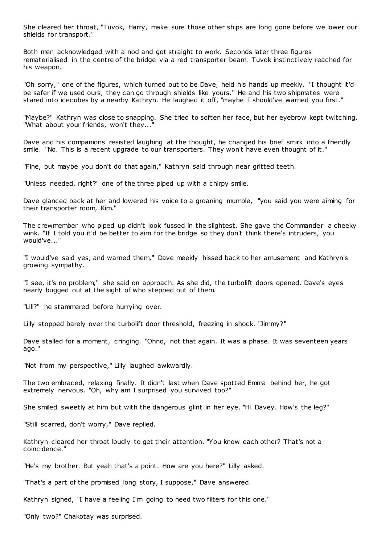She cleared her throat, "Tuvok, Harry, make sure those other ships are long gone before we lower our shields for transport."

Both men acknowledged with a nod and got straight to work. Seconds later three figures rematerialised in the centre of the bridge via a red transporter beam. Tuvok instinctively reached for his weapon.

"Oh sorry," one of the figures, which turned out to be Dave, held his hands up meekly. "I thought it'd be safer if we used ours, they can go through shields like yours." He and his two shipmates were stared into icecubes by a nearby Kathryn. He laughed it off, "maybe I should've warned you first."

"Maybe?" Kathryn was close to snapping. She tried to soften her face, but her eyebrow kept twitching. "What about your friends, won't they..."

Dave and his companions resisted laughing at the thought, he changed his brief smirk into a friendly smile. "No. This is a recent upgrade to our transporters. They won't have even thought of it."

"Fine, but maybe you don't do that again," Kathryn said through near gritted teeth.

"Unless needed, right?" one of the three piped up with a chirpy smile.

Dave glanced back at her and lowered his voice to a groaning mumble, "you said you were aiming for their transporter room, Kim."

The crewmember who piped up didn't look fussed in the slightest. She gave the Commander a cheeky wink. "If I told you it'd be better to aim for the bridge so they don't think there's intruders, you would've..."

"I would've said yes, and warned them," Dave meekly hissed back to her amusement and Kathryn's growing sympathy.

"I see, it's no problem," she said on approach. As she did, the turbolift doors opened. Dave's eyes nearly bugged out at the sight of who stepped out of them.

"Lill?" he stammered before hurrying over.

Lilly stopped barely over the turbolift door threshold, freezing in shock. "Jimmy?"

Dave stalled for a moment, cringing. "Ohno, not that again. It was a phase. It was seventeen years ago."

"Not from my perspective," Lilly laughed awkwardly.

The two embraced, relaxing finally. It didn't last when Dave spotted Emma behind her, he got extremely nervous. "Oh, why am I surprised you survived too?"

She smiled sweetly at him but with the dangerous glint in her eye. "Hi Davey. How's the leg?"

"Still scarred, don't worry," Dave replied.

Kathryn cleared her throat loudly to get their attention. "You know each other? That's not a coincidence."

"He's my brother. But yeah that's a point. How are you here?" Lilly asked.

"That's a part of the promised long story, I suppose," Dave answered.

Kathryn sighed, "I have a feeling I'm going to need two filters for this one."

"Only two?" Chakotay was surprised.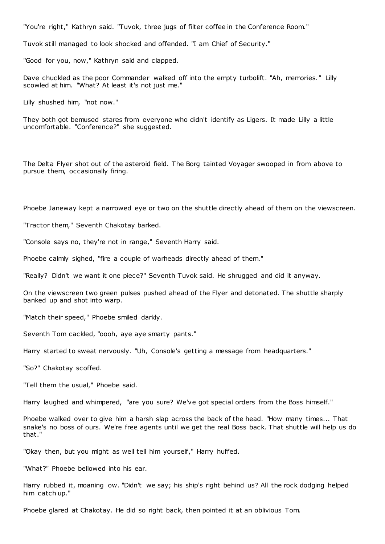"You're right," Kathryn said. "Tuvok, three jugs of filter coffee in the Conference Room."

Tuvok still managed to look shocked and offended. "I am Chief of Security."

"Good for you, now," Kathryn said and clapped.

Dave chuckled as the poor Commander walked off into the empty turbolift. "Ah, memories." Lilly scowled at him. "What? At least it's not just me."

Lilly shushed him, "not now."

They both got bemused stares from everyone who didn't identify as Ligers. It made Lilly a little uncomfortable. "Conference?" she suggested.

The Delta Flyer shot out of the asteroid field. The Borg tainted Voyager swooped in from above to pursue them, occasionally firing.

Phoebe Janeway kept a narrowed eye or two on the shuttle directly ahead of them on the viewscreen.

"Tractor them," Seventh Chakotay barked.

"Console says no, they're not in range," Seventh Harry said.

Phoebe calmly sighed, "fire a couple of warheads directly ahead of them."

"Really? Didn't we want it one piece?" Seventh Tuvok said. He shrugged and did it anyway.

On the viewscreen two green pulses pushed ahead of the Flyer and detonated. The shuttle sharply banked up and shot into warp.

"Match their speed," Phoebe smiled darkly.

Seventh Tom cackled, "oooh, aye aye smarty pants."

Harry started to sweat nervously. "Uh, Console's getting a message from headquarters."

"So?" Chakotay scoffed.

"Tell them the usual," Phoebe said.

Harry laughed and whimpered, "are you sure? We've got special orders from the Boss himself."

Phoebe walked over to give him a harsh slap across the back of the head. "How many times... That snake's no boss of ours. We're free agents until we get the real Boss back. That shuttle will help us do that."

"Okay then, but you might as well tell him yourself," Harry huffed.

"What?" Phoebe bellowed into his ear.

Harry rubbed it, moaning ow. "Didn't we say; his ship's right behind us? All the rock dodging helped him catch up."

Phoebe glared at Chakotay. He did so right back, then pointed it at an oblivious Tom.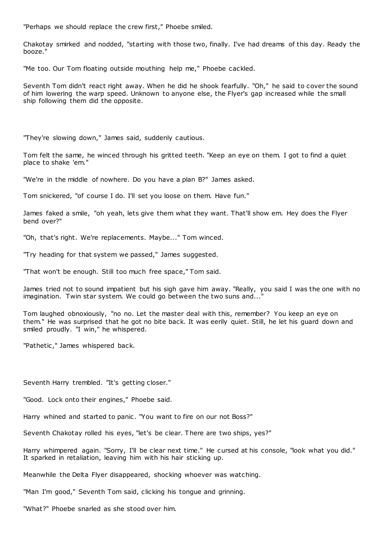"Perhaps we should replace the crew first," Phoebe smiled.

Chakotay smirked and nodded, "starting with those two, finally. I've had dreams of this day. Ready the booze."

"Me too. Our Tom floating outside mouthing help me," Phoebe cackled.

Seventh Tom didn't react right away. When he did he shook fearfully. "Oh," he said to cover the sound of him lowering the warp speed. Unknown to anyone else, the Flyer's gap increased while the small ship following them did the opposite.

"They're slowing down," James said, suddenly cautious.

Tom felt the same, he winced through his gritted teeth. "Keep an eye on them. I got to find a quiet place to shake 'em."

"We're in the middle of nowhere. Do you have a plan B?" James asked.

Tom snickered, "of course I do. I'll set you loose on them. Have fun."

James faked a smile, "oh yeah, lets give them what they want. That'll show em. Hey does the Flyer bend over?"

"Oh, that's right. We're replacements. Maybe..." Tom winced.

"Try heading for that system we passed," James suggested.

"That won't be enough. Still too much free space," Tom said.

James tried not to sound impatient but his sigh gave him away. "Really, you said I was the one with no imagination. Twin star system. We could go between the two suns and...

Tom laughed obnoxiously, "no no. Let the master deal with this, remember? You keep an eye on them." He was surprised that he got no bite back. It was eerily quiet. Still, he let his guard down and smiled proudly. "I win," he whispered.

"Pathetic," James whispered back.

Seventh Harry trembled. "It's getting closer."

"Good. Lock onto their engines," Phoebe said.

Harry whined and started to panic. "You want to fire on our not Boss?"

Seventh Chakotay rolled his eyes, "let's be clear. There are two ships, yes?"

Harry whimpered again. "Sorry, I'll be clear next time." He cursed at his console, "look what you did." It sparked in retaliation, leaving him with his hair sticking up.

Meanwhile the Delta Flyer disappeared, shocking whoever was watching.

"Man I'm good," Seventh Tom said, clicking his tongue and grinning.

"What?" Phoebe snarled as she stood over him.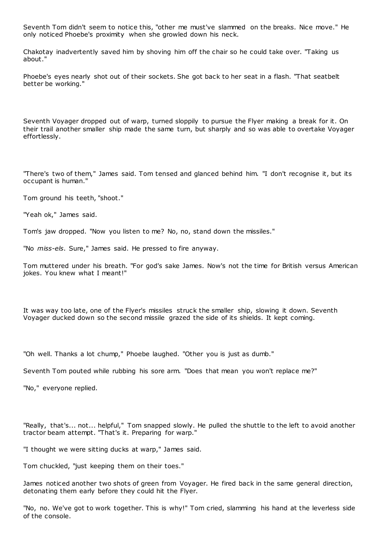Seventh Tom didn't seem to notice this, "other me must've slammed on the breaks. Nice move." He only noticed Phoebe's proximity when she growled down his neck.

Chakotay inadvertently saved him by shoving him off the chair so he could take over. "Taking us about."

Phoebe's eyes nearly shot out of their sockets. She got back to her seat in a flash. "That seatbelt better be working."

Seventh Voyager dropped out of warp, turned sloppily to pursue the Flyer making a break for it. On their trail another smaller ship made the same turn, but sharply and so was able to overtake Voyager effortlessly.

"There's two of them," James said. Tom tensed and glanced behind him. "I don't recognise it, but its occupant is human."

Tom ground his teeth, "shoot."

"Yeah ok," James said.

Tom's jaw dropped. "Now you listen to me? No, no, stand down the missiles."

"No *miss-els*. Sure," James said. He pressed to fire anyway.

Tom muttered under his breath. "For god's sake James. Now's not the time for British versus American jokes. You knew what I meant!"

It was way too late, one of the Flyer's missiles struck the smaller ship, slowing it down. Seventh Voyager ducked down so the second missile grazed the side of its shields. It kept coming.

"Oh well. Thanks a lot chump," Phoebe laughed. "Other you is just as dumb."

Seventh Tom pouted while rubbing his sore arm. "Does that mean you won't replace me?"

"No," everyone replied.

"Really, that's... not... helpful," Tom snapped slowly. He pulled the shuttle to the left to avoid another tractor beam attempt. "That's it. Preparing for warp."

"I thought we were sitting ducks at warp," James said.

Tom chuckled, "just keeping them on their toes."

James noticed another two shots of green from Voyager. He fired back in the same general direction, detonating them early before they could hit the Flyer.

"No, no. We've got to work together. This is why!" Tom cried, slamming his hand at the leverless side of the console.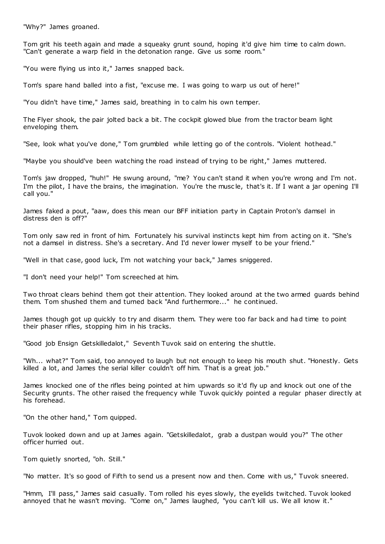"Why?" James groaned.

Tom grit his teeth again and made a squeaky grunt sound, hoping it'd give him time to calm down. "Can't generate a warp field in the detonation range. Give us some room."

"You were flying us into it," James snapped back.

Tom's spare hand balled into a fist, "excuse me. I was going to warp us out of here!"

"You didn't have time," James said, breathing in to calm his own temper.

The Flyer shook, the pair jolted back a bit. The cockpit glowed blue from the tractor beam light enveloping them.

"See, look what you've done," Tom grumbled while letting go of the controls. "Violent hothead."

"Maybe you should've been watching the road instead of trying to be right," James muttered.

Tom's jaw dropped, "huh!" He swung around, "me? You can't stand it when you're wrong and I'm not. I'm the pilot, I have the brains, the imagination. You're the musc le, that's it. If I want a jar opening I'll call you."

James faked a pout, "aaw, does this mean our BFF initiation party in Captain Proton's damsel in distress den is off?"

Tom only saw red in front of him. Fortunately his survival instincts kept him from acting on it. "She's not a damsel in distress. She's a secretary. And I'd never lower myself to be your friend."

"Well in that case, good luck, I'm not watching your back," James sniggered.

"I don't need your help!" Tom screeched at him.

Two throat clears behind them got their attention. They looked around at the two armed guards behind them. Tom shushed them and turned back "And furthermore..." he continued.

James though got up quickly to try and disarm them. They were too far back and had time to point their phaser rifles, stopping him in his tracks.

"Good job Ensign Getskilledalot," Seventh Tuvok said on entering the shuttle.

"Wh... what?" Tom said, too annoyed to laugh but not enough to keep his mouth shut. "Honestly. Gets killed a lot, and James the serial killer couldn't off him. That is a great job."

James knocked one of the rifles being pointed at him upwards so it'd fly up and knock out one of the Security grunts. The other raised the frequency while Tuvok quickly pointed a regular phaser directly at his forehead.

"On the other hand," Tom quipped.

Tuvok looked down and up at James again. "Getskilledalot, grab a dustpan would you?" The other officer hurried out.

Tom quietly snorted, "oh. Still."

"No matter. It's so good of Fifth to send us a present now and then. Come with us," Tuvok sneered.

"Hmm, I'll pass," James said casually. Tom rolled his eyes slowly, the eyelids twitched. Tuvok looked annoyed that he wasn't moving. "Come on," James laughed, "you can't kill us. We all know it."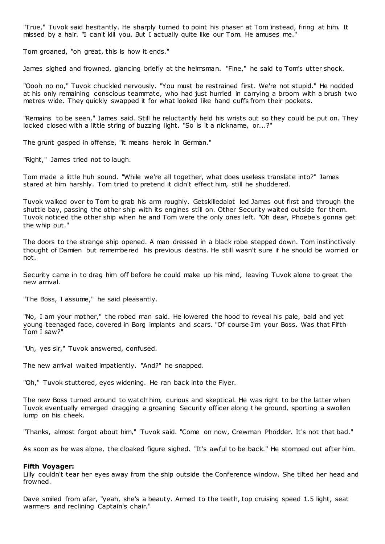"True," Tuvok said hesitantly. He sharply turned to point his phaser at Tom instead, firing at him. It missed by a hair. "I can't kill you. But I actually quite like our Tom. He amuses me."

Tom groaned, "oh great, this is how it ends."

James sighed and frowned, glancing briefly at the helmsman. "Fine," he said to Tom's utter shock.

"Oooh no no," Tuvok chuckled nervously. "You must be restrained first. We're not stupid." He nodded at his only remaining conscious teammate, who had just hurried in carrying a broom with a brush two metres wide. They quickly swapped it for what looked like hand cuffs from their pockets.

"Remains to be seen," James said. Still he reluctantly held his wrists out so they could be put on. They locked closed with a little string of buzzing light. "So is it a nickname, or...?"

The grunt gasped in offense, "it means heroic in German."

"Right," James tried not to laugh.

Tom made a little huh sound. "While we're all together, what does useless translate into?" James stared at him harshly. Tom tried to pretend it didn't effect him, still he shuddered.

Tuvok walked over to Tom to grab his arm roughly. Getskilledalot led James out first and through the shuttle bay, passing the other ship with its engines still on. Other Security waited outside for them. Tuvok noticed the other ship when he and Tom were the only ones left. "Oh dear, Phoebe's gonna get the whip out."

The doors to the strange ship opened. A man dressed in a black robe stepped down. Tom instinctively thought of Damien but remembered his previous deaths. He still wasn't sure if he should be worried or not.

Security came in to drag him off before he could make up his mind, leaving Tuvok alone to greet the new arrival.

"The Boss, I assume," he said pleasantly.

"No, I am your mother," the robed man said. He lowered the hood to reveal his pale, bald and yet young teenaged face, covered in Borg implants and scars. "Of course I'm your Boss. Was that Fifth Tom I saw?"

"Uh, yes sir," Tuvok answered, confused.

The new arrival waited impatiently. "And?" he snapped.

"Oh," Tuvok stuttered, eyes widening. He ran back into the Flyer.

The new Boss turned around to watch him, curious and skeptical. He was right to be the latter when Tuvok eventually emerged dragging a groaning Security officer along t he ground, sporting a swollen lump on his cheek.

"Thanks, almost forgot about him," Tuvok said. "Come on now, Crewman Phodder. It's not that bad."

As soon as he was alone, the cloaked figure sighed. "It's awful to be back." He stomped out after him.

#### **Fifth Voyager:**

Lilly couldn't tear her eyes away from the ship outside the Conference window. She tilted her head and frowned.

Dave smiled from afar, "yeah, she's a beauty. Armed to the teeth, top cruising speed 1.5 light, seat warmers and reclining Captain's chair."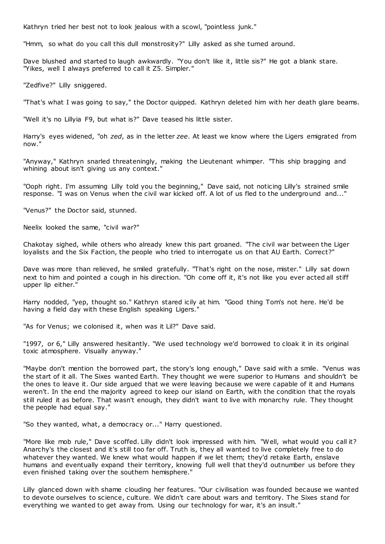Kathryn tried her best not to look jealous with a scowl, "pointless junk."

"Hmm, so what do you call this dull monstrosity?" Lilly asked as she turned around.

Dave blushed and started to laugh awkwardly. "You don't like it, little sis?" He got a blank stare. "Yikes, well I always preferred to call it Z5. Simpler."

"Zedfive?" Lilly sniggered.

"That's what I was going to say," the Doctor quipped. Kathryn deleted him with her death glare beams.

"Well it's no Lillyia F9, but what is?" Dave teased his little sister.

Harry's eyes widened, "oh *zed*, as in the letter *zee*. At least we know where the Ligers emigrated from now."

"Anyway," Kathryn snarled threateningly, making the Lieutenant whimper. "This ship bragging and whining about isn't giving us any context."

"Ooph right. I'm assuming Lilly told you the beginning," Dave said, not noticing Lilly's strained smile response. "I was on Venus when the civil war kicked off. A lot of us fled to the underground and..."

"Venus?" the Doctor said, stunned.

Neelix looked the same, "civil war?"

Chakotay sighed, while others who already knew this part groaned. "The civil war between the Liger loyalists and the Six Faction, the people who tried to interrogate us on that AU Earth. Correct?"

Dave was more than relieved, he smiled gratefully. "That's right on the nose, mister." Lilly sat down next to him and pointed a cough in his direction. "Oh come off it, it's not like you ever acted all stiff upper lip either."

Harry nodded, "yep, thought so." Kathryn stared icily at him. "Good thing Tom's not here. He'd be having a field day with these English speaking Ligers."

"As for Venus; we colonised it, when was it Lil?" Dave said.

"1997, or 6," Lilly answered hesitantly. "We used technology we'd borrowed to cloak it in its original toxic atmosphere. Visually anyway."

"Maybe don't mention the borrowed part, the story's long enough," Dave said with a smile. "Venus was the start of it all. The Sixes wanted Earth. They thought we were superior to Humans and shouldn't be the ones to leave it. Our side argued that we were leaving because we were capable of it and Humans weren't. In the end the majority agreed to keep our island on Earth, with the condition that the royals still ruled it as before. That wasn't enough, they didn't want to live with monarchy rule. They thought the people had equal say."

"So they wanted, what, a democracy or..." Harry questioned.

"More like mob rule," Dave scoffed. Lilly didn't look impressed with him. "Well, what would you call it? Anarchy's the closest and it's still too far off. Truth is, they all wanted to live completely free to do whatever they wanted. We knew what would happen if we let them; they'd retake Earth, enslave humans and eventually expand their territory, knowing full well that they'd outnumber us before they even finished taking over the southern hemisphere."

Lilly glanced down with shame clouding her features. "Our civilisation was founded because we wanted to devote ourselves to science, culture. We didn't care about wars and territory. The Sixes stand for everything we wanted to get away from. Using our technology for war, it's an insult."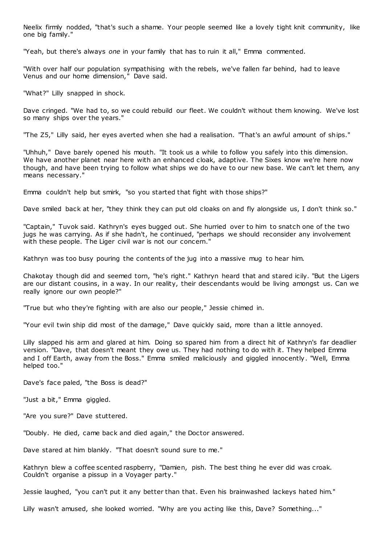Neelix firmly nodded, "that's such a shame. Your people seemed like a lovely tight knit community, like one big family."

"Yeah, but there's always *one* in your family that has to ruin it all," Emma commented.

"With over half our population sympathising with the rebels, we've fallen far behind, had to leave Venus and our home dimension," Dave said.

"What?" Lilly snapped in shock.

Dave cringed. "We had to, so we could rebuild our fleet. We couldn't without them knowing. We've lost so many ships over the years."

"The Z5," Lilly said, her eyes averted when she had a realisation. "That's an awful amount of ships."

"Uhhuh," Dave barely opened his mouth. "It took us a while to follow you safely into this dimension. We have another planet near here with an enhanced cloak, adaptive. The Sixes know we're here now though, and have been trying to follow what ships we do have to our new base. We can't let them, any means necessary."

Emma couldn't help but smirk, "so you started that fight with those ships?"

Dave smiled back at her, "they think they can put old cloaks on and fly alongside us, I don't think so."

"Captain," Tuvok said. Kathryn's eyes bugged out. She hurried over to him to snatch one of the two jugs he was carrying. As if she hadn't, he continued, "perhaps we should reconsider any involvement with these people. The Liger civil war is not our concern."

Kathryn was too busy pouring the contents of the jug into a massive mug to hear him.

Chakotay though did and seemed torn, "he's right." Kathryn heard that and stared icily. "But the Ligers are our distant cousins, in a way. In our reality, their descendants would be living amongst us. Can we really ignore our own people?"

"True but who they're fighting with are also our people," Jessie chimed in.

"Your evil twin ship did most of the damage," Dave quickly said, more than a little annoyed.

Lilly slapped his arm and glared at him. Doing so spared him from a direct hit of Kathryn's far deadlier version. "Dave, that doesn't meant they owe us. They had nothing to do with it. They helped Emma and I off Earth, away from the Boss." Emma smiled maliciously and giggled innocently. "Well, Emma helped too."

Dave's face paled, "the Boss is dead?"

"Just a bit," Emma giggled.

"Are you sure?" Dave stuttered.

"Doubly. He died, came back and died again," the Doctor answered.

Dave stared at him blankly. "That doesn't sound sure to me."

Kathryn blew a coffee scented raspberry, "Damien, pish. The best thing he ever did was croak. Couldn't organise a pissup in a Voyager party."

Jessie laughed, "you can't put it any better than that. Even his brainwashed lackeys hated him."

Lilly wasn't amused, she looked worried. "Why are you acting like this, Dave? Something..."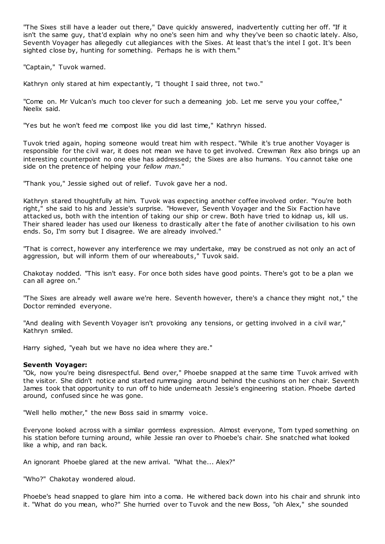"The Sixes still have a leader out there," Dave quickly answered, inadvertently cutting her off. "If it isn't the same guy, that'd explain why no one's seen him and why they've been so chaotic lately. Also, Seventh Voyager has allegedly cut allegiances with the Sixes. At least that's the intel I got. It's been sighted close by, hunting for something. Perhaps he is with them."

"Captain," Tuvok warned.

Kathryn only stared at him expectantly, "I thought I said three, not two."

"Come on. Mr Vulcan's much too clever for such a demeaning job. Let me serve you your coffee," Neelix said.

"Yes but he won't feed me compost like you did last time," Kathryn hissed.

Tuvok tried again, hoping someone would treat him with respect. "While it's true another Voyager is responsible for the civil war, it does not mean we have to get involved. Crewman Rex also brings up an interesting counterpoint no one else has addressed; the Sixes are also humans. You cannot take one side on the pretence of helping your *fellow man*."

"Thank you," Jessie sighed out of relief. Tuvok gave her a nod.

Kathryn stared thoughtfully at him. Tuvok was expecting another coffee involved order. "You're both right," she said to his and Jessie's surprise. "However, Seventh Voyager and the Six Faction have attacked us, both with the intention of taking our ship or crew. Both have tried to kidnap us, kill us. Their shared leader has used our likeness to drastically alter the fate of another civilisation to his own ends. So, I'm sorry but I disagree. We are already involved."

"That is correct, however any interference we may undertake, may be construed as not only an act of aggression, but will inform them of our whereabouts," Tuvok said.

Chakotay nodded. "This isn't easy. For once both sides have good points. There's got to be a plan we can all agree on."

"The Sixes are already well aware we're here. Seventh however, there's a chance they might not," the Doctor reminded everyone.

"And dealing with Seventh Voyager isn't provoking any tensions, or getting involved in a civil war," Kathryn smiled.

Harry sighed, "yeah but we have no idea where they are."

# **Seventh Voyager:**

"Ok, now you're being disrespectful. Bend over," Phoebe snapped at the same time Tuvok arrived with the visitor. She didn't notice and started rummaging around behind the cushions on her chair. Seventh James took that opportunity to run off to hide underneath Jessie's engineering station. Phoebe darted around, confused since he was gone.

"Well hello mother," the new Boss said in smarmy voice.

Everyone looked across with a similar gormless expression. Almost everyone, Tom typed something on his station before turning around, while Jessie ran over to Phoebe's chair. She snatched what looked like a whip, and ran back.

An ignorant Phoebe glared at the new arrival. "What the... Alex?"

"Who?" Chakotay wondered aloud.

Phoebe's head snapped to glare him into a coma. He withered back down into his chair and shrunk into it. "What do you mean, who?" She hurried over to Tuvok and the new Boss, "oh Alex," she sounded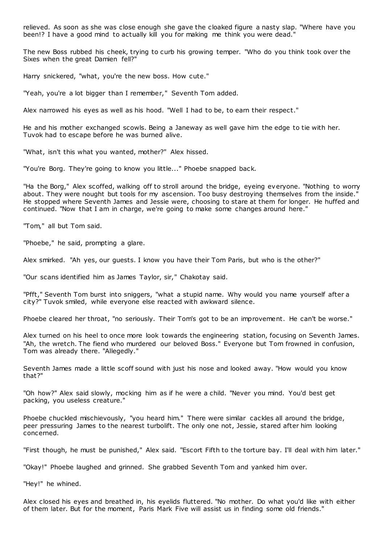relieved. As soon as she was close enough she gave the cloaked figure a nasty slap. "Where have you been!? I have a good mind to actually kill you for making me think you were dead."

The new Boss rubbed his cheek, trying to curb his growing temper. "Who do you think took over the Sixes when the great Damien fell?"

Harry snickered, "what, you're the new boss. How cute."

"Yeah, you're a lot bigger than I remember," Seventh Tom added.

Alex narrowed his eyes as well as his hood. "Well I had to be, to earn their respect."

He and his mother exchanged scowls. Being a Janeway as well gave him the edge to tie with her. Tuvok had to escape before he was burned alive.

"What, isn't this what you wanted, mother?" Alex hissed.

"You're Borg. They're going to know you little..." Phoebe snapped back.

"Ha the Borg," Alex scoffed, walking off to stroll around the bridge, eyeing everyone. "Nothing to worry about. They were nought but tools for my ascension. Too busy destroying themselves from the inside." He stopped where Seventh James and Jessie were, choosing to stare at them for longer. He huffed and continued. "Now that I am in charge, we're going to make some changes around here."

"Tom," all but Tom said.

"Phoebe," he said, prompting a glare.

Alex smirked. "Ah yes, our guests. I know you have their Tom Paris, but who is the other?"

"Our scans identified him as James Taylor, sir," Chakotay said.

"Pfft," Seventh Tom burst into sniggers, "what a stupid name. Why would you name yourself after a city?" Tuvok smiled, while everyone else reacted with awkward silence.

Phoebe cleared her throat, "no seriously. Their Tom's got to be an improvement. He can't be worse."

Alex turned on his heel to once more look towards the engineering station, focusing on Seventh James. "Ah, the wretch. The fiend who murdered our beloved Boss." Everyone but Tom frowned in confusion, Tom was already there. "Allegedly."

Seventh James made a little scoff sound with just his nose and looked away. "How would you know that?"

"Oh how?" Alex said slowly, mocking him as if he were a child. "Never you mind. You'd best get packing, you useless creature."

Phoebe chuckled mischievously, "you heard him." There were similar cackles all around the bridge, peer pressuring James to the nearest turbolift. The only one not, Jessie, stared after him looking concerned.

"First though, he must be punished," Alex said. "Escort Fifth to the torture bay. I'll deal with him later."

"Okay!" Phoebe laughed and grinned. She grabbed Seventh Tom and yanked him over.

"Hey!" he whined.

Alex closed his eyes and breathed in, his eyelids fluttered. "No mother. Do what you'd like with either of them later. But for the moment, Paris Mark Five will assist us in finding some old friends."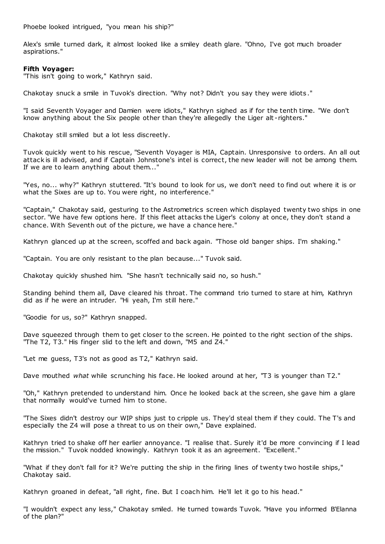Phoebe looked intrigued, "you mean his ship?"

Alex's smile turned dark, it almost looked like a smiley death glare. "Ohno, I've got much broader aspirations."

# **Fifth Voyager:**

"This isn't going to work," Kathryn said.

Chakotay snuck a smile in Tuvok's direction. "Why not? Didn't you say they were idiots ."

"I said Seventh Voyager and Damien were idiots," Kathryn sighed as if for the tenth time. "We don't know anything about the Six people other than they're allegedly the Liger alt -righters."

Chakotay still smiled but a lot less discreetly.

Tuvok quickly went to his rescue, "Seventh Voyager is MIA, Captain. Unresponsive to orders. An all out attack is ill advised, and if Captain Johnstone's intel is correct, the new leader will not be among them. If we are to learn anything about them..."

"Yes, no... why?" Kathryn stuttered. "It's bound to look for us, we don't need to find out where it is or what the Sixes are up to. You were right, no interference."

"Captain," Chakotay said, gesturing to the Astrometrics screen which displayed twenty two ships in one sector. "We have few options here. If this fleet attacks the Liger's colony at once, they don't stand a chance. With Seventh out of the picture, we have a chance here."

Kathryn glanced up at the screen, scoffed and back again. "Those old banger ships. I'm shaking."

"Captain. You are only resistant to the plan because..." Tuvok said.

Chakotay quickly shushed him. "She hasn't technically said no, so hush."

Standing behind them all, Dave cleared his throat. The command trio turned to stare at him, Kathryn did as if he were an intruder. "Hi yeah, I'm still here."

"Goodie for us, so?" Kathryn snapped.

Dave squeezed through them to get closer to the screen. He pointed to the right section of the ships. "The T2, T3." His finger slid to the left and down, "M5 and Z4."

"Let me guess, T3's not as good as T2," Kathryn said.

Dave mouthed *what* while scrunching his face. He looked around at her, "T3 is younger than T2."

"Oh," Kathryn pretended to understand him. Once he looked back at the screen, she gave him a glare that normally would've turned him to stone.

"The Sixes didn't destroy our WIP ships just to cripple us. They'd steal them if they could. The T's and especially the Z4 will pose a threat to us on their own," Dave explained.

Kathryn tried to shake off her earlier annoyance. "I realise that. Surely it'd be more convincing if I lead the mission." Tuvok nodded knowingly. Kathryn took it as an agreement. "Excellent."

"What if they don't fall for it? We're putting the ship in the firing lines of twenty two hostile ships," Chakotay said.

Kathryn groaned in defeat, "all right, fine. But I coach him. He'll let it go to his head."

"I wouldn't expect any less," Chakotay smiled. He turned towards Tuvok. "Have you informed B'Elanna of the plan?"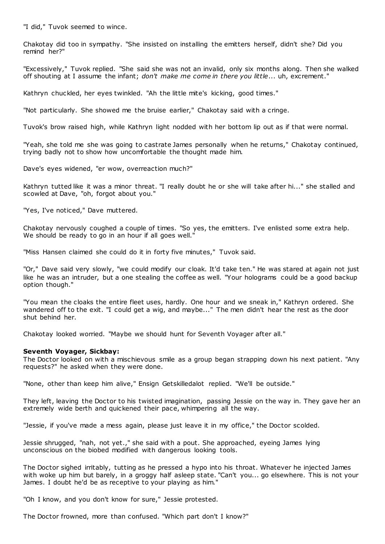"I did," Tuvok seemed to wince.

Chakotay did too in sympathy. "She insisted on installing the emitters herself, didn't she? Did you remind her?"

"Excessively," Tuvok replied. "She said she was not an invalid, only six months along. Then she walked off shouting at I assume the infant; *don't make me come in there you little*... uh, excrement."

Kathryn chuckled, her eyes twinkled. "Ah the little mite's kicking, good times."

"Not particularly. She showed me the bruise earlier," Chakotay said with a cringe.

Tuvok's brow raised high, while Kathryn light nodded with her bottom lip out as if that were normal.

"Yeah, she told me she was going to castrate James personally when he returns," Chakotay continued, trying badly not to show how uncomfortable the thought made him.

Dave's eyes widened, "er wow, overreaction much?"

Kathryn tutted like it was a minor threat. "I really doubt he or she will take after hi..." she stalled and scowled at Dave, "oh, forgot about you."

"Yes, I've noticed," Dave muttered.

Chakotay nervously coughed a couple of times. "So yes, the emitters. I've enlisted some extra help. We should be ready to go in an hour if all goes well."

"Miss Hansen claimed she could do it in forty five minutes," Tuvok said.

"Or," Dave said very slowly, "we could modify our cloak. It'd take ten." He was stared at again not just like he was an intruder, but a one stealing the coffee as well. "Your holograms could be a good backup option though."

"You mean the cloaks the entire fleet uses, hardly. One hour and we sneak in," Kathryn ordered. She wandered off to the exit. "I could get a wig, and maybe..." The men didn't hear the rest as the door shut behind her.

Chakotay looked worried. "Maybe we should hunt for Seventh Voyager after all."

# **Seventh Voyager, Sickbay:**

The Doctor looked on with a mischievous smile as a group began strapping down his next patient. "Any requests?" he asked when they were done.

"None, other than keep him alive," Ensign Getskilledalot replied. "We'll be outside."

They left, leaving the Doctor to his twisted imagination, passing Jessie on the way in. They gave her an extremely wide berth and quickened their pace, whimpering all the way.

"Jessie, if you've made a mess again, please just leave it in my office," the Doctor scolded.

Jessie shrugged, "nah, not yet.," she said with a pout. She approached, eyeing James lying unconscious on the biobed modified with dangerous looking tools.

The Doctor sighed irritably, tutting as he pressed a hypo into his throat. Whatever he injected James with woke up him but barely, in a groggy half asleep state. "Can't you... go elsewhere. This is not your James. I doubt he'd be as receptive to your playing as him."

"Oh I know, and you don't know for sure," Jessie protested.

The Doctor frowned, more than confused. "Which part don't I know?"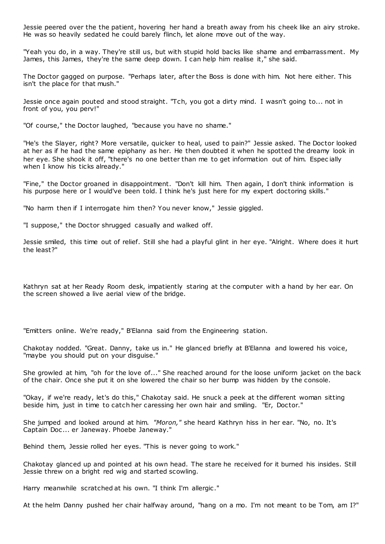Jessie peered over the the patient, hovering her hand a breath away from his cheek like an airy stroke. He was so heavily sedated he could barely flinch, let alone move out of the way.

"Yeah you do, in a way. They're still us, but with stupid hold backs like shame and embarrassment. My James, this James, they're the same deep down. I can help him realise it," she said.

The Doctor gagged on purpose. "Perhaps later, after the Boss is done with him. Not here either. This isn't the place for that mush."

Jessie once again pouted and stood straight. "Tch, you got a dirty mind. I wasn't going to... not in front of you, you perv!"

"Of course," the Doctor laughed, "because you have no shame."

"He's the Slayer, right? More versatile, quicker to heal, used to pain?" Jessie asked. The Doctor looked at her as if he had the same epiphany as her. He then doubted it when he spotted the dreamy look in her eye. She shook it off, "there's no one better than me to get information out of him. Espec ially when I know his ticks already."

"Fine," the Doctor groaned in disappointment. "Don't kill him. Then again, I don't think information is his purpose here or I would've been told. I think he's just here for my expert doctoring skills."

"No harm then if I interrogate him then? You never know," Jessie giggled.

"I suppose," the Doctor shrugged casually and walked off.

Jessie smiled, this time out of relief. Still she had a playful glint in her eye. "Alright. Where does it hurt the least?"

Kathryn sat at her Ready Room desk, impatiently staring at the computer with a hand by her ear. On the screen showed a live aerial view of the bridge.

"Emitters online. We're ready," B'Elanna said from the Engineering station.

Chakotay nodded. "Great. Danny, take us in." He glanced briefly at B'Elanna and lowered his voice, "maybe you should put on your disguise."

She growled at him, "oh for the love of..." She reached around for the loose uniform jacket on the back of the chair. Once she put it on she lowered the chair so her bump was hidden by the console.

"Okay, if we're ready, let's do this," Chakotay said. He snuck a peek at the different woman sitting beside him, just in time to catch her caressing her own hair and smiling. "Er, Doctor."

She jumped and looked around at him. *"Moron,"* she heard Kathryn hiss in her ear. "No, no. It's Captain Doc ... er Janeway. Phoebe Janeway."

Behind them, Jessie rolled her eyes. "This is never going to work."

Chakotay glanced up and pointed at his own head. The stare he received for it burned his insides. Still Jessie threw on a bright red wig and started scowling.

Harry meanwhile scratched at his own. "I think I'm allergic."

At the helm Danny pushed her chair halfway around, "hang on a mo. I'm not meant to be Tom, am I?"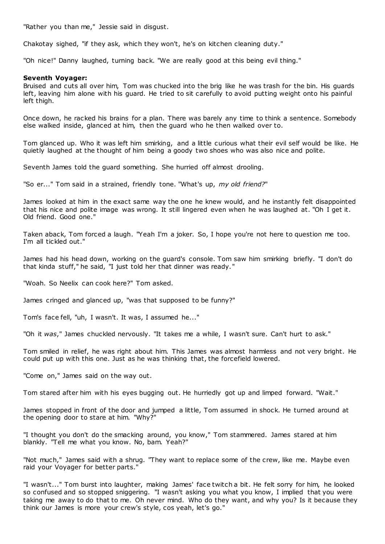"Rather you than me," Jessie said in disgust.

Chakotay sighed, "if they ask, which they won't, he's on kitchen cleaning duty."

"Oh nice!" Danny laughed, turning back. "We are really good at this being evil thing."

#### **Seventh Voyager:**

Bruised and cuts all over him, Tom was chucked into the brig like he was trash for the bin. His guards left, leaving him alone with his guard. He tried to sit carefully to avoid putting weight onto his painful left thigh.

Once down, he racked his brains for a plan. There was barely any time to think a sentence. Somebody else walked inside, glanced at him, then the guard who he then walked over to.

Tom glanced up. Who it was left him smirking, and a little curious what their evil self would be like. He quietly laughed at the thought of him being a goody two shoes who was also nice and polite.

Seventh James told the guard something. She hurried off almost drooling.

"So er..." Tom said in a strained, friendly tone. "What's up, *my old friend?*"

James looked at him in the exact same way the one he knew would, and he instantly felt disappointed that his nice and polite image was wrong. It still lingered even when he was laughed at. "Oh I get it. Old friend. Good one."

Taken aback, Tom forced a laugh. "Yeah I'm a joker. So, I hope you're not here to question me too. I'm all tickled out."

James had his head down, working on the guard's console. Tom saw him smirking briefly. "I don't do that kinda stuff," he said, "I just told her that dinner was ready."

"Woah. So Neelix can cook here?" Tom asked.

James cringed and glanced up, "was that supposed to be funny?"

Tom's face fell, "uh, I wasn't. It was, I assumed he..."

"Oh it *was*," James chuckled nervously. "It takes me a while, I wasn't sure. Can't hurt to ask."

Tom smiled in relief, he was right about him. This James was almost harmless and not very bright. He could put up with this one. Just as he was thinking that, the forcefield lowered.

"Come on," James said on the way out.

Tom stared after him with his eyes bugging out. He hurriedly got up and limped forward. "Wait."

James stopped in front of the door and jumped a little, Tom assumed in shock. He turned around at the opening door to stare at him. "Why?"

"I thought you don't do the smacking around, you know," Tom stammered. James stared at him blankly. "Tell me what you know. No, bam. Yeah?"

"Not much," James said with a shrug. "They want to replace some of the crew, like me. Maybe even raid your Voyager for better parts."

"I wasn't..." Tom burst into laughter, making James' face twitch a bit. He felt sorry for him, he looked so confused and so stopped sniggering. "I wasn't asking you what you know, I implied that you were taking me away to do that to me. Oh never mind. Who do they want, and why you? Is it because they think our James is more your crew's style, cos yeah, let's go."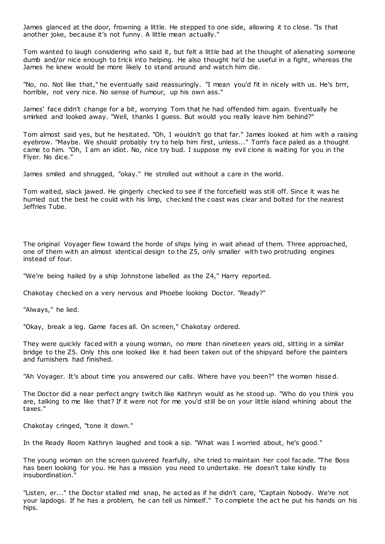James glanced at the door, frowning a little. He stepped to one side, allowing it to close. "Is that another joke, because it's not funny. A little mean actually."

Tom wanted to laugh considering who said it, but felt a little bad at the thought of alienating someone dumb and/or nice enough to trick into helping. He also thought he'd be useful in a fight, whereas the James he knew would be more likely to stand around and watch him die.

"No, no. Not like that," he eventually said reassuringly. "I mean you'd fit in nicely with us. He's brrr, horrible, not very nice. No sense of humour, up his own ass."

James' face didn't change for a bit, worrying Tom that he had offended him again. Eventually he smirked and looked away. "Well, thanks I guess. But would you really leave him behind?"

Tom almost said yes, but he hesitated. "Oh, I wouldn't go that far." James looked at him with a raising eyebrow. "Maybe. We should probably try to help him first, unless..." Tom's face paled as a thought came to him. "Oh, I am an idiot. No, nice try bud. I suppose my evil clone is waiting for you in the Flyer. No dice."

James smiled and shrugged, "okay." He strolled out without a care in the world.

Tom waited, slack jawed. He gingerly checked to see if the forcefield was still off. Since it was he hurried out the best he could with his limp, checked the coast was clear and bolted for the nearest Jeffries Tube.

The original Voyager flew toward the horde of ships lying in wait ahead of them. Three approached, one of them with an almost identical design to the Z5, only smaller with two protruding engines instead of four.

"We're being hailed by a ship Johnstone labelled as the Z4," Harry reported.

Chakotay checked on a very nervous and Phoebe looking Doctor. "Ready?"

"Always," he lied.

"Okay, break a leg. Game faces all. On screen," Chakotay ordered.

They were quickly faced with a young woman, no more than nineteen years old, sitting in a similar bridge to the Z5. Only this one looked like it had been taken out of the shipyard before the painters and furnishers had finished.

"Ah Voyager. It's about time you answered our calls. Where have you been?" the woman hissed.

The Doctor did a near perfect angry twitch like Kathryn would as he stood up. "Who do you think you are, talking to me like that? If it were not for me you'd still be on your little island whining about the taxes."

Chakotay cringed, "tone it down."

In the Ready Room Kathryn laughed and took a sip. "What was I worried about, he's good."

The young woman on the screen quivered fearfully, she tried to maintain her cool facade. "The Boss has been looking for you. He has a mission you need to undertake. He doesn't take kindly to insubordination."

"Listen, er..." the Doctor stalled mid snap, he acted as if he didn't care, "Captain Nobody. We're not your lapdogs. If he has a problem, he can tell us himself." To complete the act he put his hands on his hips.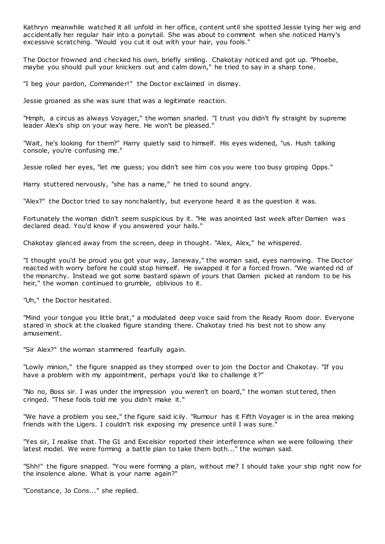Kathryn meanwhile watched it all unfold in her office, content until she spotted Jessie tying her wig and accidentally her regular hair into a ponytail. She was about to comment when she noticed Harry's excessive scratching. "Would you cut it out with your hair, you fools."

The Doctor frowned and checked his own, briefly smiling. Chakotay noticed and got up. "Phoebe, maybe you should pull your knickers out and calm down," he tried to say in a sharp tone.

"I beg your pardon, Commander!" the Doctor exclaimed in dismay.

Jessie groaned as she was sure that was a legitimate reaction.

"Hmph, a circus as always Voyager," the woman snarled. "I trust you didn't fly straight by supreme leader Alex's ship on your way here. He won't be pleased."

"Wait, he's looking for them?" Harry quietly said to himself. His eyes widened, "us. Hush talking console, you're confusing me."

Jessie rolled her eyes, "let me guess; you didn't see him cos you were too busy groping Opps."

Harry stuttered nervously, "she has a name," he tried to sound angry.

"Alex?" the Doctor tried to say nonchalantly, but everyone heard it as the question it was.

Fortunately the woman didn't seem suspicious by it. "He was anointed last week after Damien was declared dead. You'd know if you answered your hails."

Chakotay glanced away from the screen, deep in thought. "Alex, Alex," he whispered.

"I thought you'd be proud you got your way, Janeway," the woman said, eyes narrowing. The Doctor reacted with worry before he could stop himself. He swapped it for a forced frown. "We wanted rid of the monarchy. Instead we got some bastard spawn of yours that Damien picked at random to be his heir," the woman continued to grumble, oblivious to it.

"Uh," the Doctor hesitated.

"Mind your tongue you little brat," a modulated deep voice said from the Ready Room door. Everyone stared in shock at the cloaked figure standing there. Chakotay tried his best not to show any amusement.

"Sir Alex?" the woman stammered fearfully again.

"Lowly minion," the figure snapped as they stomped over to join the Doctor and Chakotay. "If you have a problem with my appointment, perhaps you'd like to challenge it?"

"No no, Boss sir. I was under the impression you weren't on board," the woman stuttered, then cringed. "These fools told me you didn't make it."

"We have a problem you see," the figure said icily. "Rumour has it Fifth Voyager is in the area making friends with the Ligers. I couldn't risk exposing my presence until I was sure."

"Yes sir, I realise that. The G1 and Excelsior reported their interference when we were following their latest model. We were forming a battle plan to take them both..." the woman said.

"Shh!" the figure snapped. "You were forming a plan, without me? I should take your ship right now for the insolence alone. What is your name again?"

"Constance, Jo Cons..." she replied.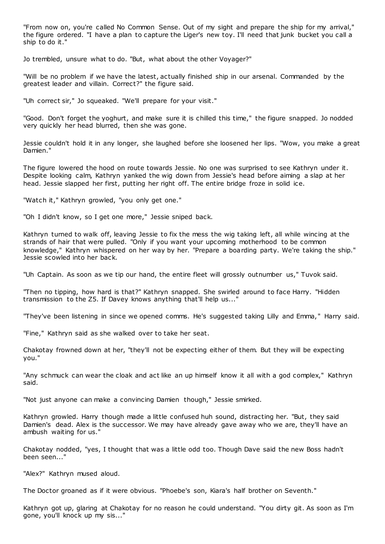"From now on, you're called No Common Sense. Out of my sight and prepare the ship for my arrival," the figure ordered. "I have a plan to capture the Liger's new toy. I'll need that junk bucket you call a ship to do it."

Jo trembled, unsure what to do. "But, what about the other Voyager?"

"Will be no problem if we have the latest, actually finished ship in our arsenal. Commanded by the greatest leader and villain. Correct?" the figure said.

"Uh correct sir," Jo squeaked. "We'll prepare for your visit."

"Good. Don't forget the yoghurt, and make sure it is chilled this time," the figure snapped. Jo nodded very quickly her head blurred, then she was gone.

Jessie couldn't hold it in any longer, she laughed before she loosened her lips. "Wow, you make a great Damien."

The figure lowered the hood on route towards Jessie. No one was surprised to see Kathryn under it. Despite looking calm, Kathryn yanked the wig down from Jessie's head before aiming a slap at her head. Jessie slapped her first, putting her right off. The entire bridge froze in solid ice.

"Watch it," Kathryn growled, "you only get one."

"Oh I didn't know, so I get one more," Jessie sniped back.

Kathryn turned to walk off, leaving Jessie to fix the mess the wig taking left, all while wincing at the strands of hair that were pulled. "Only if you want your upcoming motherhood to be common knowledge," Kathryn whispered on her way by her. "Prepare a boarding party. We're taking the ship." Jessie scowled into her back.

"Uh Captain. As soon as we tip our hand, the entire fleet will grossly outnumber us," Tuvok said.

"Then no tipping, how hard is that?" Kathryn snapped. She swirled around to face Harry. "Hidden transmission to the Z5. If Davey knows anything that'll help us..."

"They've been listening in since we opened comms. He's suggested taking Lilly and Emma," Harry said.

"Fine," Kathryn said as she walked over to take her seat.

Chakotay frowned down at her, "they'll not be expecting either of them. But they will be expecting you."

"Any schmuck can wear the cloak and act like an up himself know it all with a god complex," Kathryn said.

"Not just anyone can make a convincing Damien though," Jessie smirked.

Kathryn growled. Harry though made a little confused huh sound, distracting her. "But, they said Damien's dead. Alex is the successor. We may have already gave away who we are, they'll have an ambush waiting for us."

Chakotay nodded, "yes, I thought that was a little odd too. Though Dave said the new Boss hadn't been seen...'

"Alex?" Kathryn mused aloud.

The Doctor groaned as if it were obvious. "Phoebe's son, Kiara's half brother on Seventh."

Kathryn got up, glaring at Chakotay for no reason he could understand. "You dirty git. As soon as I'm gone, you'll knock up my sis..."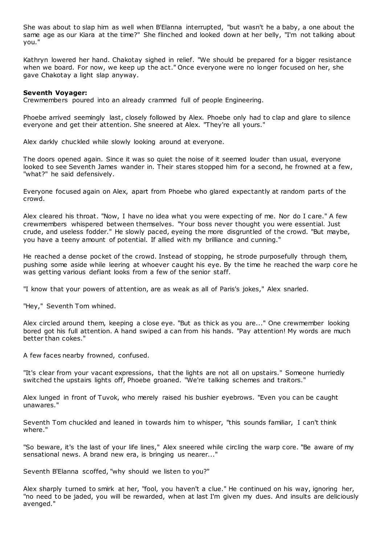She was about to slap him as well when B'Elanna interrupted, "but wasn't he a baby, a one about the same age as our Kiara at the time?" She flinched and looked down at her belly, "I'm not talking about you."

Kathryn lowered her hand. Chakotay sighed in relief. "We should be prepared for a bigger resistance when we board. For now, we keep up the act." Once everyone were no longer focused on her, she gave Chakotay a light slap anyway.

## **Seventh Voyager:**

Crewmembers poured into an already crammed full of people Engineering.

Phoebe arrived seemingly last, closely followed by Alex. Phoebe only had to clap and glare to silence everyone and get their attention. She sneered at Alex. "They're all yours."

Alex darkly chuckled while slowly looking around at everyone.

The doors opened again. Since it was so quiet the noise of it seemed louder than usual, everyone looked to see Seventh James wander in. Their stares stopped him for a second, he frowned at a few, "what?" he said defensively.

Everyone focused again on Alex, apart from Phoebe who glared expectantly at random parts of the crowd.

Alex cleared his throat. "Now, I have no idea what you were expecting of me. Nor do I care." A few crewmembers whispered between themselves. "Your boss never thought you were essential. Just crude, and useless fodder." He slowly paced, eyeing the more disgruntled of the crowd. "But maybe, you have a teeny amount of potential. If allied with my brilliance and cunning."

He reached a dense pocket of the crowd. Instead of stopping, he strode purposefully through them, pushing some aside while leering at whoever caught his eye. By the time he reached the warp core he was getting various defiant looks from a few of the senior staff.

"I know that your powers of attention, are as weak as all of Paris's jokes," Alex snarled.

"Hey," Seventh Tom whined.

Alex circled around them, keeping a close eye. "But as thick as you are..." One crewmember looking bored got his full attention. A hand swiped a can from his hands. "Pay attention! My words are much better than cokes."

A few faces nearby frowned, confused.

"It's clear from your vacant expressions, that the lights are not all on upstairs." Someone hurriedly switched the upstairs lights off, Phoebe groaned. "We're talking schemes and traitors."

Alex lunged in front of Tuvok, who merely raised his bushier eyebrows. "Even you can be caught unawares."

Seventh Tom chuckled and leaned in towards him to whisper, "this sounds familiar, I can't think where."

"So beware, it's the last of your life lines," Alex sneered while circling the warp core. "Be aware of my sensational news. A brand new era, is bringing us nearer..."

Seventh B'Elanna scoffed, "why should we listen to you?"

Alex sharply turned to smirk at her, "fool, you haven't a clue." He continued on his way, ignoring her, "no need to be jaded, you will be rewarded, when at last I'm given my dues. And insults are deliciously avenged."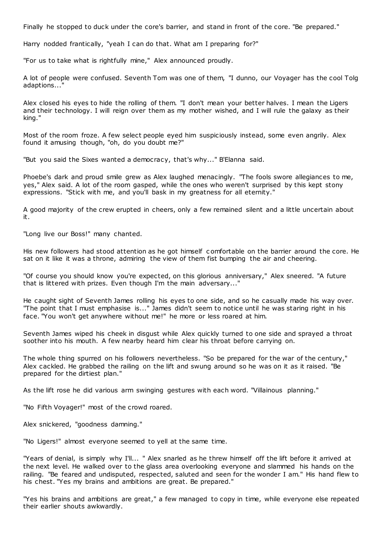Finally he stopped to duck under the core's barrier, and stand in front of the core. "Be prepared."

Harry nodded frantically, "yeah I can do that. What am I preparing for?"

"For us to take what is rightfully mine," Alex announced proudly.

A lot of people were confused. Seventh Tom was one of them, "I dunno, our Voyager has the cool Tolg adaptions..."

Alex closed his eyes to hide the rolling of them. "I don't mean your better halves. I mean the Ligers and their technology. I will reign over them as my mother wished, and I will rule the galaxy as their king."

Most of the room froze. A few select people eyed him suspiciously instead, some even angrily. Alex found it amusing though, "oh, do you doubt me?"

"But you said the Sixes wanted a democracy, that's why..." B'Elanna said.

Phoebe's dark and proud smile grew as Alex laughed menacingly. "The fools swore allegiances to me, yes," Alex said. A lot of the room gasped, while the ones who weren't surprised by this kept stony expressions. "Stick with me, and you'll bask in my greatness for all eternity."

A good majority of the crew erupted in cheers, only a few remained silent and a little uncertain about it.

"Long live our Boss!" many chanted.

His new followers had stood attention as he got himself c omfortable on the barrier around the core. He sat on it like it was a throne, admiring the view of them fist bumping the air and cheering.

"Of course you should know you're expected, on this glorious anniversary," Alex sneered. "A future that is littered with prizes. Even though I'm the main adversary..."

He caught sight of Seventh James rolling his eyes to one side, and so he casually made his way over. "The point that I must emphasise is..." James didn't seem to notice until he was staring right in his face. "You won't get anywhere without me!" he more or less roared at him.

Seventh James wiped his cheek in disgust while Alex quickly turned to one side and sprayed a throat soother into his mouth. A few nearby heard him clear his throat before carrying on.

The whole thing spurred on his followers nevertheless. "So be prepared for the war of the century," Alex cackled. He grabbed the railing on the lift and swung around so he was on it as it raised. "Be prepared for the dirtiest plan."

As the lift rose he did various arm swinging gestures with each word. "Villainous planning."

"No Fifth Voyager!" most of the crowd roared.

Alex snickered, "goodness damning."

"No Ligers!" almost everyone seemed to yell at the same time.

"Years of denial, is simply why I'll... " Alex snarled as he threw himself off the lift before it arrived at the next level. He walked over to the glass area overlooking everyone and slammed his hands on the railing. "Be feared and undisputed, respected, saluted and seen for the wonder I am." His hand flew to his chest. "Yes my brains and ambitions are great. Be prepared."

"Yes his brains and ambitions are great," a few managed to copy in time, while everyone else repeated their earlier shouts awkwardly.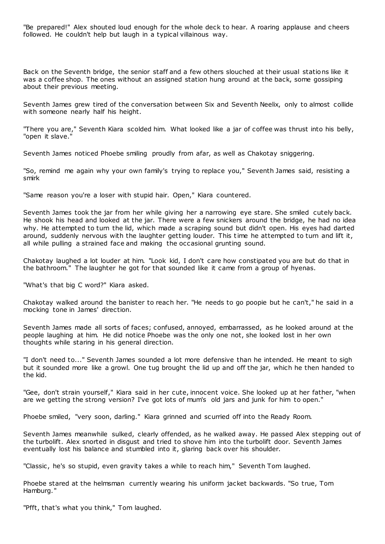"Be prepared!" Alex shouted loud enough for the whole deck to hear. A roaring applause and cheers followed. He couldn't help but laugh in a typical villainous way.

Back on the Seventh bridge, the senior staff and a few others slouched at their usual stations like it was a coffee shop. The ones without an assigned station hung around at the back, some gossiping about their previous meeting.

Seventh James grew tired of the conversation between Six and Seventh Neelix, only to almost collide with someone nearly half his height.

"There you are," Seventh Kiara scolded him. What looked like a jar of coffee was thrust into his belly, "open it slave."

Seventh James noticed Phoebe smiling proudly from afar, as well as Chakotay sniggering.

"So, remind me again why your own family's trying to replace you," Seventh James said, resisting a smirk

"Same reason you're a loser with stupid hair. Open," Kiara countered.

Seventh James took the jar from her while giving her a narrowing eye stare. She smiled cutely back. He shook his head and looked at the jar. There were a few snickers around the bridge, he had no idea why. He attempted to turn the lid, which made a scraping sound but didn't open. His eyes had darted around, suddenly nervous with the laughter getting louder. This time he attempted to turn and lift it, all while pulling a strained face and making the occasional grunting sound.

Chakotay laughed a lot louder at him. "Look kid, I don't care how constipated you are but do that in the bathroom." The laughter he got for that sounded like it came from a group of hyenas.

"What's that big C word?" Kiara asked.

Chakotay walked around the banister to reach her. "He needs to go poopie but he can't," he said in a mocking tone in James' direction.

Seventh James made all sorts of faces; confused, annoyed, embarrassed, as he looked around at the people laughing at him. He did notice Phoebe was the only one not, she looked lost in her own thoughts while staring in his general direction.

"I don't need to..." Seventh James sounded a lot more defensive than he intended. He meant to sigh but it sounded more like a growl. One tug brought the lid up and off the jar, which he then handed to the kid.

"Gee, don't strain yourself," Kiara said in her cute, innocent voice. She looked up at her father, "when are we getting the strong version? I've got lots of mum's old jars and junk for him to open."

Phoebe smiled, "very soon, darling." Kiara grinned and scurried off into the Ready Room.

Seventh James meanwhile sulked, clearly offended, as he walked away. He passed Alex stepping out of the turbolift. Alex snorted in disgust and tried to shove him into the turbolift door. Seventh James eventually lost his balance and stumbled into it, glaring back over his shoulder.

"Classic, he's so stupid, even gravity takes a while to reach him," Seventh Tom laughed.

Phoebe stared at the helmsman currently wearing his uniform jacket backwards. "So true, Tom Hamburg."

"Pfft, that's what you think," Tom laughed.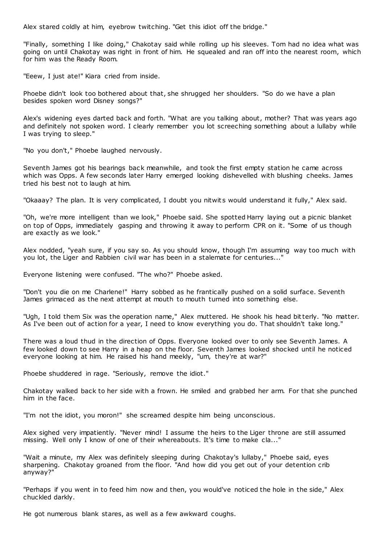Alex stared coldly at him, eyebrow twitching. "Get this idiot off the bridge."

"Finally, something I like doing," Chakotay said while rolling up his sleeves. Tom had no idea what was going on until Chakotay was right in front of him. He squealed and ran off into the nearest room, which for him was the Ready Room.

"Eeew, I just ate!" Kiara cried from inside.

Phoebe didn't look too bothered about that, she shrugged her shoulders. "So do we have a plan besides spoken word Disney songs?"

Alex's widening eyes darted back and forth. "What are you talking about, mother? That was years ago and definitely not spoken word. I clearly remember you lot screeching something about a lullaby while I was trying to sleep."

"No you don't," Phoebe laughed nervously.

Seventh James got his bearings back meanwhile, and took the first empty station he came across which was Opps. A few seconds later Harry emerged looking dishevelled with blushing cheeks. James tried his best not to laugh at him.

"Okaaay? The plan. It is very complicated, I doubt you nitwits would understand it fully," Alex said.

"Oh, we're more intelligent than we look," Phoebe said. She spotted Harry laying out a picnic blanket on top of Opps, immediately gasping and throwing it away to perform CPR on it. "Some of us though are exactly as we look."

Alex nodded, "yeah sure, if you say so. As you should know, though I'm assuming way too much with you lot, the Liger and Rabbien civil war has been in a stalemate for centuries..."

Everyone listening were confused. "The who?" Phoebe asked.

"Don't you die on me Charlene!" Harry sobbed as he frantically pushed on a solid surface. Seventh James grimaced as the next attempt at mouth to mouth turned into something else.

"Ugh, I told them Six was the operation name," Alex muttered. He shook his head bitterly. "No matter. As I've been out of action for a year, I need to know everything you do. That shouldn't take long."

There was a loud thud in the direction of Opps. Everyone looked over to only see Seventh James. A few looked down to see Harry in a heap on the floor. Seventh James looked shocked until he noticed everyone looking at him. He raised his hand meekly, "um, they're at war?"

Phoebe shuddered in rage. "Seriously, remove the idiot."

Chakotay walked back to her side with a frown. He smiled and grabbed her arm. For that she punched him in the face.

"I'm not the idiot, you moron!" she screamed despite him being unconscious.

Alex sighed very impatiently. "Never mind! I assume the heirs to the Liger throne are still assumed missing. Well only I know of one of their whereabouts. It's time to make cla..."

"Wait a minute, my Alex was definitely sleeping during Chakotay's lullaby," Phoebe said, eyes sharpening. Chakotay groaned from the floor. "And how did you get out of your detention crib anyway?"

"Perhaps if you went in to feed him now and then, you would've noticed the hole in the side," Alex chuckled darkly.

He got numerous blank stares, as well as a few awkward coughs.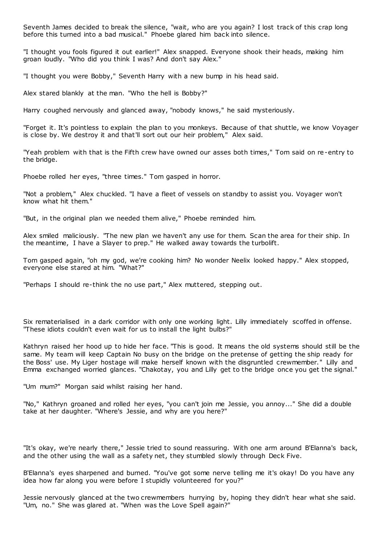Seventh James decided to break the silence, "wait, who are you again? I lost track of this crap long before this turned into a bad musical." Phoebe glared him back into silence.

"I thought you fools figured it out earlier!" Alex snapped. Everyone shook their heads, making him groan loudly. "Who did you think I was? And don't say Alex."

"I thought you were Bobby," Seventh Harry with a new bump in his head said.

Alex stared blankly at the man. "Who the hell is Bobby?"

Harry coughed nervously and glanced away, "nobody knows," he said mysteriously.

"Forget it. It's pointless to explain the plan to you monkeys. Because of that shuttle, we know Voyager is close by. We destroy it and that'll sort out our heir problem," Alex said.

"Yeah problem with that is the Fifth crew have owned our asses both times," Tom said on re-entry to the bridge.

Phoebe rolled her eyes, "three times." Tom gasped in horror.

"Not a problem," Alex chuckled. "I have a fleet of vessels on standby to assist you. Voyager won't know what hit them."

"But, in the original plan we needed them alive," Phoebe reminded him.

Alex smiled maliciously. "The new plan we haven't any use for them. Scan the area for their ship. In the meantime, I have a Slayer to prep." He walked away towards the turbolift.

Tom gasped again, "oh my god, we're cooking him? No wonder Neelix looked happy." Alex stopped, everyone else stared at him. "What?"

"Perhaps I should re-think the no use part," Alex muttered, stepping out.

Six rematerialised in a dark corridor with only one working light. Lilly immediately scoffed in offense. "These idiots couldn't even wait for us to install the light bulbs?"

Kathryn raised her hood up to hide her face. "This is good. It means the old systems should still be the same. My team will keep Captain No busy on the bridge on the pretense of getting the ship ready for the Boss' use. My Liger hostage will make herself known with the disgruntled crewmember." Lilly and Emma exchanged worried glances. "Chakotay, you and Lilly get to the bridge once you get the signal."

"Um mum?" Morgan said whilst raising her hand.

"No," Kathryn groaned and rolled her eyes, "you can't join me Jessie, you annoy..." She did a double take at her daughter. "Where's Jessie, and why are you here?"

"It's okay, we're nearly there," Jessie tried to sound reassuring. With one arm around B'Elanna's back, and the other using the wall as a safety net, they stumbled slowly through Deck Five.

B'Elanna's eyes sharpened and burned. "You've got some nerve telling me it's okay! Do you have any idea how far along you were before I stupidly volunteered for you?"

Jessie nervously glanced at the two crewmembers hurrying by, hoping they didn't hear what she said. "Um, no." She was glared at. "When was the Love Spell again?"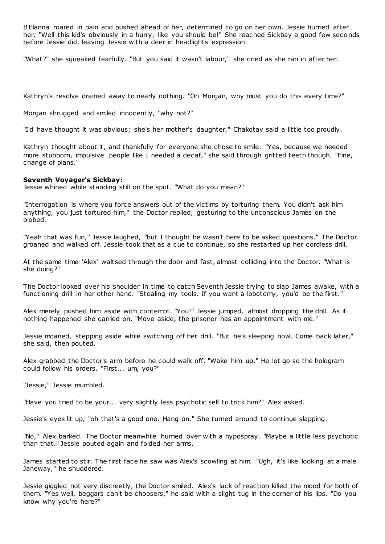B'Elanna roared in pain and pushed ahead of her, determined to go on her own. Jessie hurried after her. "Well this kid's obviously in a hurry, like you should be!" She reached Sickbay a good few seconds before Jessie did, leaving Jessie with a deer in headlights expression.

"What?" she squeaked fearfully. "But you said it wasn't labour," she cried as she ran in after her.

Kathryn's resolve drained away to nearly nothing. "Oh Morgan, why must you do this every time?"

Morgan shrugged and smiled innocently, "why not?"

"I'd have thought it was obvious; she's her mother's daughter," Chakotay said a little too proudly.

Kathryn thought about it, and thankfully for everyone she chose to smile. "Yes, because we needed more stubborn, impulsive people like I needed a decaf," she said through gritted teeth though. "Fine, change of plans."

# **Seventh Voyager's Sickbay:**

Jessie whined while standing still on the spot. "What do you mean?"

"Interrogation is where you force answers out of the victims by torturing them. You didn't ask him anything, you just tortured him," the Doctor replied, gesturing to the unconscious James on the biobed.

"Yeah that was fun," Jessie laughed, "but I thought he wasn't here to be asked questions." The Doctor groaned and walked off. Jessie took that as a cue to continue, so she restarted up her cordless drill.

At the same time 'Alex' waltsed through the door and fast, almost colliding into the Doctor. "What is she doing?"

The Doctor looked over his shoulder in time to catch Seventh Jessie trying to slap James awake, with a functioning drill in her other hand. "Stealing my tools. If you want a lobotomy, you'd be the first."

Alex merely pushed him aside with contempt. "You!" Jessie jumped, almost dropping the drill. As if nothing happened she carried on. "Move aside, the prisoner has an appointment with me."

Jessie moaned, stepping aside while switching off her drill. "But he's sleeping now. Come back later," she said, then pouted.

Alex grabbed the Doctor's arm before he could walk off. "Wake him up." He let go so the hologram could follow his orders. "First... um, you?"

"Jessie," Jessie mumbled.

"Have you tried to be your... very slightly less psychotic self to trick him?" Alex asked.

Jessie's eyes lit up, "oh that's a good one. Hang on." She turned around to continue slapping.

"No," Alex barked. The Doctor meanwhile hurried over with a hypospray. "Maybe a little less psychotic than that." Jessie pouted again and folded her arms.

James started to stir. The first face he saw was Alex's scowling at him. "Ugh, it's like looking at a male Janeway," he shuddered.

Jessie giggled not very discreetly, the Doctor smiled. Alex's lack of reaction killed the mood for both of them. "Yes well, beggars can't be choosers," he said with a slight tug in the corner of his lips. "Do you know why you're here?"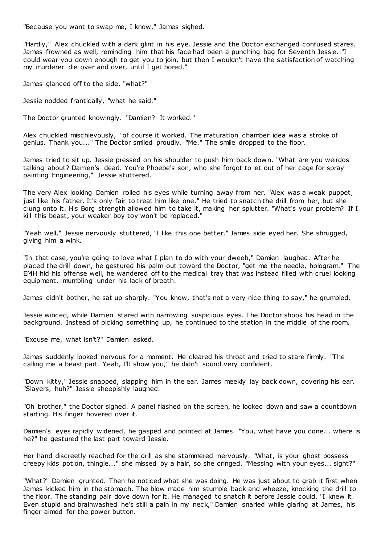"Because you want to swap me, I know," James sighed.

"Hardly," Alex chuckled with a dark glint in his eye. Jessie and the Doctor exchanged confused stares. James frowned as well, reminding him that his face had been a punching bag for Seventh Jessie. "I could wear you down enough to get you to join, but then I wouldn't have the satisfaction of watching my murderer die over and over, until I get bored."

James glanced off to the side, "what?"

Jessie nodded frantically, "what he said."

The Doctor grunted knowingly. "Damien? It worked."

Alex chuckled mischievously, "of course it worked. The maturation chamber idea was a stroke of genius. Thank you..." The Doctor smiled proudly. "Me." The smile dropped to the floor.

James tried to sit up. Jessie pressed on his shoulder to push him back down. "What are you weirdos talking about? Damien's dead. You're Phoebe's son, who she forgot to let out of her cage for spray painting Engineering," Jessie stuttered.

The very Alex looking Damien rolled his eyes while turning away from her. "Alex was a weak puppet, just like his father. It's only fair to treat him like one." He tried to snatch the drill from her, but she clung onto it. His Borg strength allowed him to take it, making her splutter. "What's your problem? If I kill this beast, your weaker boy toy won't be replaced."

"Yeah well," Jessie nervously stuttered, "I like this one better." James side eyed her. She shrugged, giving him a wink.

"In that case, you're going to love what I plan to do with your dweeb," Damien laughed. After he placed the drill down, he gestured his palm out toward the Doctor, "get me the needle, hologram." The EMH hid his offense well, he wandered off to the medical tray that was instead filled with cruel looking equipment, mumbling under his lack of breath.

James didn't bother, he sat up sharply. "You know, that's not a very nice thing to say," he grumbled.

Jessie winced, while Damien stared with narrowing suspicious eyes. The Doctor shook his head in the background. Instead of picking something up, he continued to the station in the middle of the room.

"Excuse me, what isn't?" Damien asked.

James suddenly looked nervous for a moment. He cleared his throat and tried to stare firmly. "The calling me a beast part. Yeah, I'll show you," he didn't sound very confident.

"Down kitty," Jessie snapped, slapping him in the ear. James meekly lay back down, covering his ear. "Slayers, huh?" Jessie sheepishly laughed.

"Oh brother," the Doctor sighed. A panel flashed on the screen, he looked down and saw a countdown starting. His finger hovered over it.

Damien's eyes rapidly widened, he gasped and pointed at James. "You, what have you done... where is he?" he gestured the last part toward Jessie.

Her hand discreetly reached for the drill as she stammered nervously. "What, is your ghost possess creepy kids potion, thingie..." she missed by a hair, so she cringed. "Messing with your eyes... sight?"

"What?" Damien grunted. Then he noticed what she was doing. He was just about to grab it first when James kicked him in the stomach. The blow made him stumble back and wheeze, knocking the drill to the floor. The standing pair dove down for it. He managed to snatch it before Jessie could. "I knew it. Even stupid and brainwashed he's still a pain in my neck," Damien snarled while glaring at James, his finger aimed for the power button.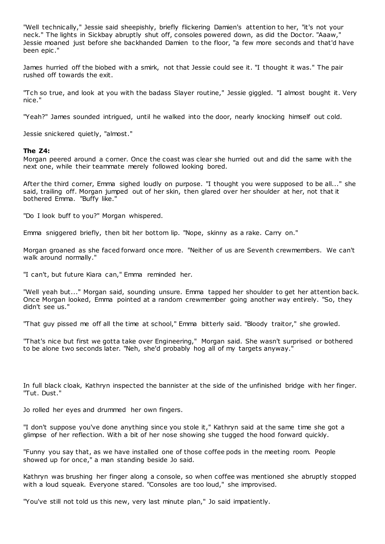"Well technically," Jessie said sheepishly, briefly flickering Damien's attention to her, "it's not your neck." The lights in Sickbay abruptly shut off, consoles powered down, as did the Doctor. "Aaaw," Jessie moaned just before she backhanded Damien to the floor, "a few more seconds and that'd have been epic ."

James hurried off the biobed with a smirk, not that Jessie could see it. "I thought it was." The pair rushed off towards the exit.

"Tch so true, and look at you with the badass Slayer routine," Jessie giggled. "I almost bought it. Very nice."

"Yeah?" James sounded intrigued, until he walked into the door, nearly knocking himself out cold.

Jessie snickered quietly, "almost."

#### **The Z4:**

Morgan peered around a corner. Once the coast was clear she hurried out and did the same with the next one, while their teammate merely followed looking bored.

After the third corner, Emma sighed loudly on purpose. "I thought you were supposed to be all..." she said, trailing off. Morgan jumped out of her skin, then glared over her shoulder at her, not that it bothered Emma. "Buffy like."

"Do I look buff to you?" Morgan whispered.

Emma sniggered briefly, then bit her bottom lip. "Nope, skinny as a rake. Carry on."

Morgan groaned as she faced forward once more. "Neither of us are Seventh crewmembers. We can't walk around normally."

"I can't, but future Kiara can," Emma reminded her.

"Well yeah but..." Morgan said, sounding unsure. Emma tapped her shoulder to get her attention back. Once Morgan looked, Emma pointed at a random crewmember going another way entirely. "So, they didn't see us."

"That guy pissed me off all the time at school," Emma bitterly said. "Bloody traitor," she growled.

"That's nice but first we gotta take over Engineering," Morgan said. She wasn't surprised or bothered to be alone two seconds later. "Neh, she'd probably hog all of my targets anyway."

In full black cloak, Kathryn inspected the bannister at the side of the unfinished bridge with her finger. "Tut. Dust."

Jo rolled her eyes and drummed her own fingers.

"I don't suppose you've done anything since you stole it," Kathryn said at the same time she got a glimpse of her reflection. With a bit of her nose showing she tugged the hood forward quickly.

"Funny you say that, as we have installed one of those coffee pods in the meeting room. People showed up for once," a man standing beside Jo said.

Kathryn was brushing her finger along a console, so when coffee was mentioned she abruptly stopped with a loud squeak. Everyone stared. "Consoles are too loud," she improvised.

"You've still not told us this new, very last minute plan," Jo said impatiently.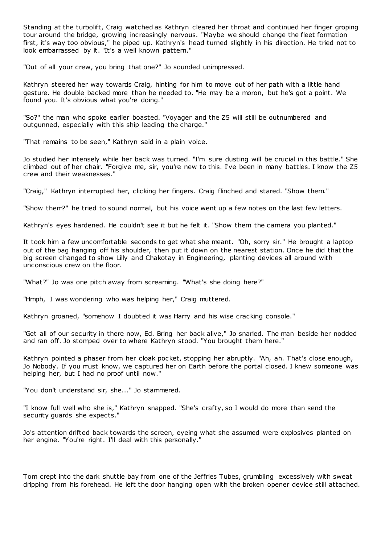Standing at the turbolift, Craig watched as Kathryn cleared her throat and continued her finger groping tour around the bridge, growing increasingly nervous. "Maybe we should change the fleet formation first, it's way too obvious," he piped up. Kathryn's head turned slightly in his direction. He tried not to look embarrassed by it. "It's a well known pattern."

"Out of all your crew, you bring that one?" Jo sounded unimpressed.

Kathryn steered her way towards Craig, hinting for him to move out of her path with a little hand gesture. He double backed more than he needed to. "He may be a moron, but he's got a point. We found you. It's obvious what you're doing."

"So?" the man who spoke earlier boasted. "Voyager and the Z5 will still be outnumbered and outgunned, especially with this ship leading the charge."

"That remains to be seen," Kathryn said in a plain voice.

Jo studied her intensely while her back was turned. "I'm sure dusting will be crucial in this battle." She climbed out of her chair. "Forgive me, sir, you're new to this. I've been in many battles. I know the Z5 crew and their weaknesses."

"Craig," Kathryn interrupted her, clicking her fingers. Craig flinched and stared. "Show them."

"Show them?" he tried to sound normal, but his voice went up a few notes on the last few letters.

Kathryn's eyes hardened. He couldn't see it but he felt it. "Show them the camera you planted."

It took him a few uncomfortable seconds to get what she meant. "Oh, sorry sir." He brought a laptop out of the bag hanging off his shoulder, then put it down on the nearest station. Once he did that the big screen changed to show Lilly and Chakotay in Engineering, planting devices all around with unconscious crew on the floor.

"What?" Jo was one pitch away from screaming. "What's she doing here?"

"Hmph, I was wondering who was helping her," Craig muttered.

Kathryn groaned, "somehow I doubted it was Harry and his wise cracking console."

"Get all of our security in there now, Ed. Bring her back alive," Jo snarled. The man beside her nodded and ran off. Jo stomped over to where Kathryn stood. "You brought them here."

Kathryn pointed a phaser from her cloak pocket, stopping her abruptly. "Ah, ah. That's close enough, Jo Nobody. If you must know, we captured her on Earth before the portal closed. I knew someone was helping her, but I had no proof until now."

"You don't understand sir, she..." Jo stammered.

"I know full well who she is," Kathryn snapped. "She's crafty, so I would do more than send the security guards she expects."

Jo's attention drifted back towards the screen, eyeing what she assumed were explosives planted on her engine. "You're right. I'll deal with this personally."

Tom crept into the dark shuttle bay from one of the Jeffries Tubes, grumbling excessively with sweat dripping from his forehead. He left the door hanging open with the broken opener device still attached.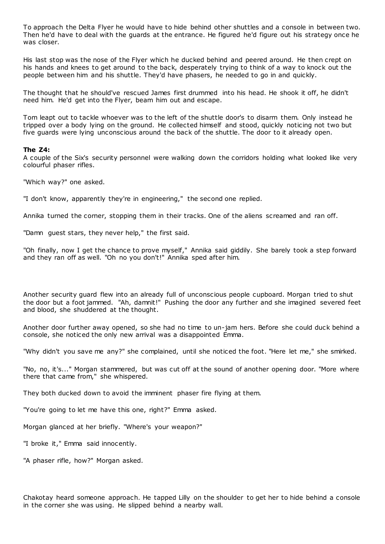To approach the Delta Flyer he would have to hide behind other shuttles and a console in between two. Then he'd have to deal with the guards at the entrance. He figured he'd figure out his strategy once he was closer.

His last stop was the nose of the Flyer which he ducked behind and peered around. He then crept on his hands and knees to get around to the back, desperately trying to think of a way to knock out the people between him and his shuttle. They'd have phasers, he needed to go in and quickly.

The thought that he should've rescued James first drummed into his head. He shook it off, he didn't need him. He'd get into the Flyer, beam him out and escape.

Tom leapt out to tackle whoever was to the left of the shuttle door's to disarm them. Only instead he tripped over a body lying on the ground. He collected himself and stood, quickly noticing not two but five guards were lying unconscious around the back of the shuttle. The door to it already open.

#### **The Z4:**

A couple of the Six's security personnel were walking down the corridors holding what looked like very colourful phaser rifles.

"Which way?" one asked.

"I don't know, apparently they're in engineering," the second one replied.

Annika turned the corner, stopping them in their tracks. One of the aliens screamed and ran off.

"Damn guest stars, they never help," the first said.

"Oh finally, now I get the chance to prove myself," Annika said giddily. She barely took a step forward and they ran off as well. "Oh no you don't!" Annika sped after him.

Another security guard flew into an already full of unconscious people cupboard. Morgan tried to shut the door but a foot jammed. "Ah, damnit!" Pushing the door any further and she imagined severed feet and blood, she shuddered at the thought.

Another door further away opened, so she had no time to un-jam hers. Before she could duck behind a console, she noticed the only new arrival was a disappointed Emma.

"Why didn't you save me any?" she complained, until she noticed the foot. "Here let me," she smirked.

"No, no, it's..." Morgan stammered, but was cut off at the sound of another opening door. "More where there that came from," she whispered.

They both ducked down to avoid the imminent phaser fire flying at them.

"You're going to let me have this one, right?" Emma asked.

Morgan glanced at her briefly. "Where's your weapon?"

"I broke it," Emma said innocently.

"A phaser rifle, how?" Morgan asked.

Chakotay heard someone approach. He tapped Lilly on the shoulder to get her to hide behind a console in the corner she was using. He slipped behind a nearby wall.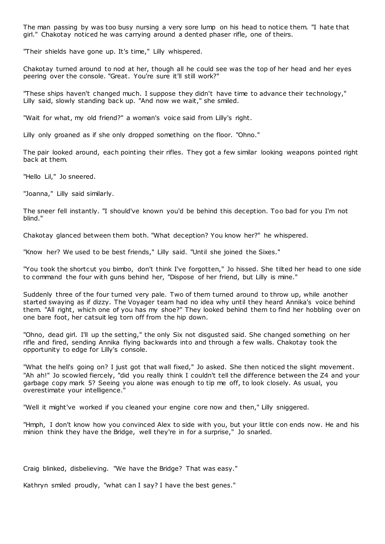The man passing by was too busy nursing a very sore lump on his head to notice them. "I hate that girl." Chakotay noticed he was carrying around a dented phaser rifle, one of theirs.

"Their shields have gone up. It's time," Lilly whispered.

Chakotay turned around to nod at her, though all he could see was the top of her head and her eyes peering over the console. "Great. You're sure it'll still work?"

"These ships haven't changed much. I suppose they didn't have time to advance their technology," Lilly said, slowly standing back up. "And now we wait," she smiled.

"Wait for what, my old friend?" a woman's voice said from Lilly's right.

Lilly only groaned as if she only dropped something on the floor. "Ohno."

The pair looked around, each pointing their rifles. They got a few similar looking weapons pointed right back at them.

"Hello Lil," Jo sneered.

"Joanna," Lilly said similarly.

The sneer fell instantly. "I should've known you'd be behind this deception. Too bad for you I'm not blind."

Chakotay glanced between them both. "What deception? You know her?" he whispered.

"Know her? We used to be best friends," Lilly said. "Until she joined the Sixes."

"You took the shortcut you bimbo, don't think I've forgotten," Jo hissed. She tilted her head to one side to command the four with guns behind her, "Dispose of her friend, but Lilly is mine."

Suddenly three of the four turned very pale. Two of them turned around to throw up, while another started swaying as if dizzy. The Voyager team had no idea why until they heard Annika's voice behind them. "All right, which one of you has my shoe?" They looked behind them to find her hobbling over on one bare foot, her catsuit leg torn off from the hip down.

"Ohno, dead girl. I'll up the setting," the only Six not disgusted said. She changed something on her rifle and fired, sending Annika flying backwards into and through a few walls. Chakotay took the opportunity to edge for Lilly's console.

"What the hell's going on? I just got that wall fixed," Jo asked. She then noticed the slight movement. "Ah ah!" Jo scowled fiercely, "did you really think I couldn't tell the difference between the Z4 and your garbage copy mark 5? Seeing you alone was enough to tip me off, to look closely. As usual, you overestimate your intelligence."

"Well it might've worked if you cleaned your engine core now and then," Lilly sniggered.

"Hmph, I don't know how you convinced Alex to side with you, but your little con ends now. He and his minion think they have the Bridge, well they're in for a surprise," Jo snarled.

Craig blinked, disbelieving. "We have the Bridge? That was easy."

Kathryn smiled proudly, "what can I say? I have the best genes."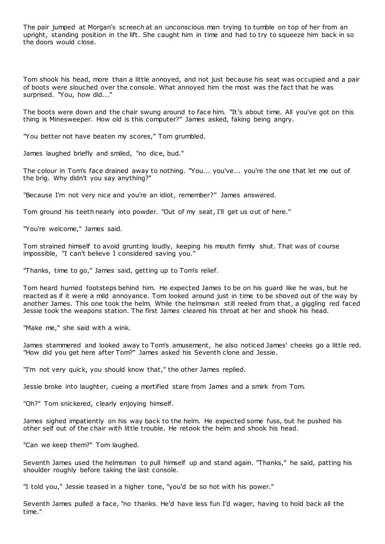The pair jumped at Morgan's screech at an unconscious man trying to tumble on top of her from an upright, standing position in the lift. She caught him in time and had to try to squeeze him back in so the doors would close.

Tom shook his head, more than a little annoyed, and not just because his seat was occupied and a pair of boots were slouched over the console. What annoyed him the most was the fact that he was surprised. "You, how did..."

The boots were down and the chair swung around to face him. "It's about time. All you've got on this thing is Minesweeper. How old is this computer?" James asked, faking being angry.

"You better not have beaten my scores," Tom grumbled.

James laughed briefly and smiled, "no dice, bud."

The colour in Tom's face drained away to nothing. "You... you've... you're the one that let me out of the brig. Why didn't you say anything?"

"Because I'm not very nice and you're an idiot, remember?" James answered.

Tom ground his teeth nearly into powder. "Out of my seat, I'll get us out of here."

"You're welcome," James said.

Tom strained himself to avoid grunting loudly, keeping his mouth firmly shut. That was of course impossible, "I can't believe I considered saving you."

"Thanks, time to go," James said, getting up to Tom's relief.

Tom heard hurried footsteps behind him. He expected James to be on his guard like he was, but he reacted as if it were a mild annoyance. Tom looked around just in time to be shoved out of the way by another James. This one took the helm. While the helmsman still reeled from that, a giggling red faced Jessie took the weapons station. The first James cleared his throat at her and shook his head.

"Make me," she said with a wink.

James stammered and looked away to Tom's amusement, he also noticed James' cheeks go a little red. "How did you get here after Tom?" James asked his Seventh clone and Jessie.

"I'm not very quick, you should know that," the other James replied.

Jessie broke into laughter, cueing a mortified stare from James and a smirk from Tom.

"Oh?" Tom snickered, clearly enjoying himself.

James sighed impatiently on his way back to the helm. He expected some fuss, but he pushed his other self out of the chair with little trouble. He retook the helm and shook his head.

"Can we keep them?" Tom laughed.

Seventh James used the helmsman to pull himself up and stand again. "Thanks," he said, patting his shoulder roughly before taking the last console.

"I told you," Jessie teased in a higher tone, "you'd be so hot with his power."

Seventh James pulled a face, "no thanks. He'd have less fun I'd wager, having to hold back all the time."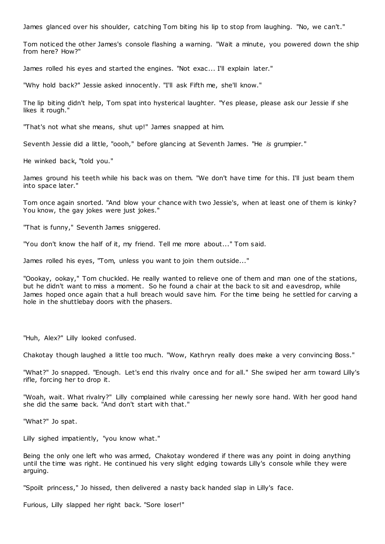James glanced over his shoulder, catching Tom biting his lip to stop from laughing. "No, we can't."

Tom noticed the other James's console flashing a warning. "Wait a minute, you powered down the ship from here? How?"

James rolled his eyes and started the engines. "Not exac... I'll explain later."

"Why hold back?" Jessie asked innocently. "I'll ask Fifth me, she'll know."

The lip biting didn't help, Tom spat into hysterical laughter. "Yes please, please ask our Jessie if she likes it rough."

"That's not what she means, shut up!" James snapped at him.

Seventh Jessie did a little, "oooh," before glancing at Seventh James. "He *is* grumpier."

He winked back, "told you."

James ground his teeth while his back was on them. "We don't have time for this. I'll just beam them into space later."

Tom once again snorted. "And blow your chance with two Jessie's, when at least one of them is kinky? You know, the gay jokes were just jokes."

"That is funny," Seventh James sniggered.

"You don't know the half of it, my friend. Tell me more about..." Tom said.

James rolled his eyes, "Tom, unless you want to join them outside..."

"Oookay, ookay," Tom chuckled. He really wanted to relieve one of them and man one of the stations, but he didn't want to miss a moment. So he found a chair at the back to sit and eavesdrop, while James hoped once again that a hull breach would save him. For the time being he settled for carving a hole in the shuttlebay doors with the phasers.

"Huh, Alex?" Lilly looked confused.

Chakotay though laughed a little too much. "Wow, Kathryn really does make a very convincing Boss."

"What?" Jo snapped. "Enough. Let's end this rivalry once and for all." She swiped her arm toward Lilly's rifle, forcing her to drop it.

"Woah, wait. What rivalry?" Lilly complained while caressing her newly sore hand. With her good hand she did the same back. "And don't start with that."

"What?" Jo spat.

Lilly sighed impatiently, "you know what."

Being the only one left who was armed, Chakotay wondered if there was any point in doing anything until the time was right. He continued his very slight edging towards Lilly's console while they were arguing.

"Spoilt princess," Jo hissed, then delivered a nasty back handed slap in Lilly's face.

Furious, Lilly slapped her right back. "Sore loser!"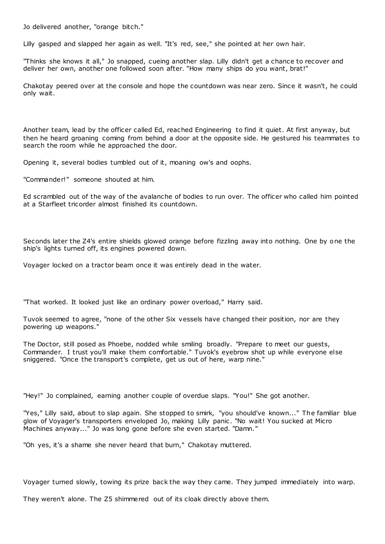Jo delivered another, "orange bitch."

Lilly gasped and slapped her again as well. "It's red, see," she pointed at her own hair.

"Thinks she knows it all," Jo snapped, cueing another slap. Lilly didn't get a chance to recover and deliver her own, another one followed soon after. "How many ships do you want, brat!"

Chakotay peered over at the console and hope the countdown was near zero. Since it wasn't, he could only wait.

Another team, lead by the officer called Ed, reached Engineering to find it quiet. At first anyway, but then he heard groaning coming from behind a door at the opposite side. He gestured his teammates to search the room while he approached the door.

Opening it, several bodies tumbled out of it, moaning ow's and oophs.

"Commander!" someone shouted at him.

Ed scrambled out of the way of the avalanche of bodies to run over. The officer who called him pointed at a Starfleet tricorder almost finished its countdown.

Seconds later the Z4's entire shields glowed orange before fizzling away into nothing. One by one the ship's lights turned off, its engines powered down.

Voyager locked on a tractor beam once it was entirely dead in the water.

"That worked. It looked just like an ordinary power overload," Harry said.

Tuvok seemed to agree, "none of the other Six vessels have changed their position, nor are they powering up weapons."

The Doctor, still posed as Phoebe, nodded while smiling broadly. "Prepare to meet our guests, Commander. I trust you'll make them comfortable." Tuvok's eyebrow shot up while everyone else sniggered. "Once the transport's complete, get us out of here, warp nine."

"Hey!" Jo complained, earning another couple of overdue slaps. "You!" She got another.

"Yes," Lilly said, about to slap again. She stopped to smirk, "you should've known..." The familiar blue glow of Voyager's transporters enveloped Jo, making Lilly panic . "No wait! You sucked at Micro Machines anyway..." Jo was long gone before she even started. "Damn."

"Oh yes, it's a shame she never heard that burn," Chakotay muttered.

Voyager turned slowly, towing its prize back the way they came. They jumped immediately into warp.

They weren't alone. The Z5 shimmered out of its cloak directly above them.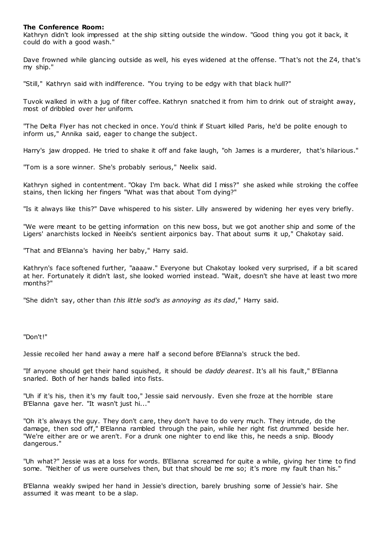# **The Conference Room:**

Kathryn didn't look impressed at the ship sitting outside the window. "Good thing you got it back, it could do with a good wash."

Dave frowned while glancing outside as well, his eyes widened at the offense. "That's not the Z4, that's my ship."

"Still," Kathryn said with indifference. "You trying to be edgy with that black hull?"

Tuvok walked in with a jug of filter coffee. Kathryn snatched it from him to drink out of straight away, most of dribbled over her uniform.

"The Delta Flyer has not checked in once. You'd think if Stuart killed Paris, he'd be polite enough to inform us," Annika said, eager to change the subject.

Harry's jaw dropped. He tried to shake it off and fake laugh, "oh James is a murderer, that's hilarious."

"Tom is a sore winner. She's probably serious," Neelix said.

Kathryn sighed in contentment. "Okay I'm back. What did I miss?" she asked while stroking the coffee stains, then licking her fingers "What was that about Tom dying?"

"Is it always like this?" Dave whispered to his sister. Lilly answered by widening her eyes very briefly.

"We were meant to be getting information on this new boss, but we got another ship and some of the Ligers' anarchists locked in Neeilx's sentient airponics bay. That about sums it up," Chakotay said.

"That and B'Elanna's having her baby," Harry said.

Kathryn's face softened further, "aaaaw." Everyone but Chakotay looked very surprised, if a bit scared at her. Fortunately it didn't last, she looked worried instead. "Wait, doesn't she have at least two more months?"

"She didn't say, other than *this little sod's as annoying as its dad*," Harry said.

"Don't!"

Jessie recoiled her hand away a mere half a second before B'Elanna's struck the bed.

"If anyone should get their hand squished, it should be *daddy dearest*. It's all his fault," B'Elanna snarled. Both of her hands balled into fists.

"Uh if it's his, then it's my fault too," Jessie said nervously. Even she froze at the horrible stare B'Elanna gave her. "It wasn't just hi..."

"Oh it's always the guy. They don't care, they don't have to do very much. They intrude, do the damage, then sod off," B'Elanna rambled through the pain, while her right fist drummed beside her. "We're either are or we aren't. For a drunk one nighter to end like this, he needs a snip. Bloody dangerous."

"Uh what?" Jessie was at a loss for words. B'Elanna screamed for quite a while, giving her time to find some. "Neither of us were ourselves then, but that should be me so; it's more my fault than his."

B'Elanna weakly swiped her hand in Jessie's direction, barely brushing some of Jessie's hair. She assumed it was meant to be a slap.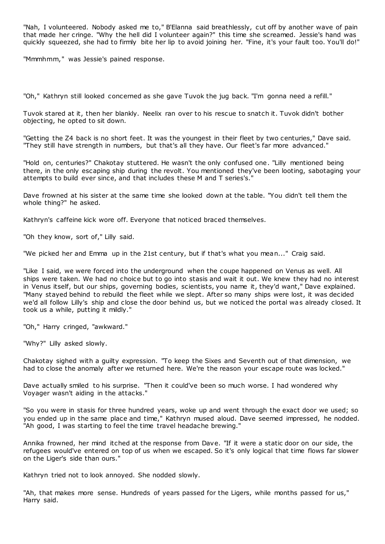"Nah, I volunteered. Nobody asked me to," B'Elanna said breathlessly, cut off by another wave of pain that made her cringe. "Why the hell did I volunteer again?" this time she screamed. Jessie's hand was quickly squeezed, she had to firmly bite her lip to avoid joining her. "Fine, it's your fault too. You'll do!"

"Mmmhmm," was Jessie's pained response.

"Oh," Kathryn still looked concerned as she gave Tuvok the jug back. "I'm gonna need a refill."

Tuvok stared at it, then her blankly. Neelix ran over to his rescue to snatch it. Tuvok didn't bother objecting, he opted to sit down.

"Getting the Z4 back is no short feet. It was the youngest in their fleet by two centuries," Dave said. "They still have strength in numbers, but that's all they have. Our fleet's far more advanced."

"Hold on, centuries?" Chakotay stuttered. He wasn't the only confused one. "Lilly mentioned being there, in the only escaping ship during the revolt. You mentioned they've been looting, sabotaging your attempts to build ever since, and that includes these M and T series's."

Dave frowned at his sister at the same time she looked down at the table. "You didn't tell them the whole thing?" he asked.

Kathryn's caffeine kick wore off. Everyone that noticed braced themselves.

"Oh they know, sort of," Lilly said.

"We picked her and Emma up in the 21st century, but if that's what you mean..." Craig said.

"Like I said, we were forced into the underground when the coupe happened on Venus as well. All ships were taken. We had no choice but to go into stasis and wait it out. We knew they had no interest in Venus itself, but our ships, governing bodies, scientists, you name it, they'd want," Dave explained. "Many stayed behind to rebuild the fleet while we slept. After so many ships were lost, it was decided we'd all follow Lilly's ship and close the door behind us, but we noticed the portal was already closed. It took us a while, putting it mildly."

"Oh," Harry cringed, "awkward."

"Why?" Lilly asked slowly.

Chakotay sighed with a guilty expression. "To keep the Sixes and Seventh out of that dimension, we had to close the anomaly after we returned here. We're the reason your escape route was locked."

Dave actually smiled to his surprise. "Then it could've been so much worse. I had wondered why Voyager wasn't aiding in the attacks."

"So you were in stasis for three hundred years, woke up and went through the exact door we used; so you ended up in the same place and time," Kathryn mused aloud. Dave seemed impressed, he nodded. "Ah good, I was starting to feel the time travel headache brewing."

Annika frowned, her mind itched at the response from Dave. "If it were a static door on our side, the refugees would've entered on top of us when we escaped. So it's only logical that time flows far slower on the Liger's side than ours."

Kathryn tried not to look annoyed. She nodded slowly.

"Ah, that makes more sense. Hundreds of years passed for the Ligers, while months passed for us," Harry said.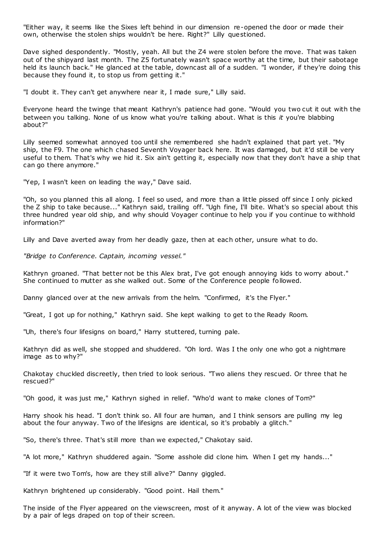"Either way, it seems like the Sixes left behind in our dimension re-opened the door or made their own, otherwise the stolen ships wouldn't be here. Right?" Lilly questioned.

Dave sighed despondently. "Mostly, yeah. All but the Z4 were stolen before the move. That was taken out of the shipyard last month. The Z5 fortunately wasn't space worthy at the time, but their sabotage held its launch back." He glanced at the table, downcast all of a sudden. "I wonder, if they're doing this because they found it, to stop us from getting it."

"I doubt it. They can't get anywhere near it, I made sure," Lilly said.

Everyone heard the twinge that meant Kathryn's patience had gone. "Would you two cut it out with the between you talking. None of us know what you're talking about. What is this *it* you're blabbing about?"

Lilly seemed somewhat annoyed too until she remembered she hadn't explained that part yet. "My ship, the F9. The one which chased Seventh Voyager back here. It was damaged, but it'd still be very useful to them. That's why we hid it. Six ain't getting it, especially now that they don't have a ship that can go there anymore."

"Yep, I wasn't keen on leading the way," Dave said.

"Oh, so you planned this all along. I feel so used, and more than a little pissed off since I only picked the Z ship to take because..." Kathryn said, trailing off. "Ugh fine, I'll bite. What's so special about this three hundred year old ship, and why should Voyager continue to help you if you continue to withhold information?"

Lilly and Dave averted away from her deadly gaze, then at each other, unsure what to do.

*"Bridge to Conference. Captain, incoming vessel."*

Kathryn groaned. "That better not be this Alex brat, I've got enough annoying kids to worry about." She continued to mutter as she walked out. Some of the Conference people followed.

Danny glanced over at the new arrivals from the helm. "Confirmed, it's the Flyer."

"Great, I got up for nothing," Kathryn said. She kept walking to get to the Ready Room.

"Uh, there's four lifesigns on board," Harry stuttered, turning pale.

Kathryn did as well, she stopped and shuddered. "Oh lord. Was I the only one who got a nightmare image as to why?"

Chakotay chuckled discreetly, then tried to look serious. "Two aliens they rescued. Or three that he rescued?"

"Oh good, it was just me," Kathryn sighed in relief. "Who'd want to make clones of Tom?"

Harry shook his head. "I don't think so. All four are human, and I think sensors are pulling my leg about the four anyway. Two of the lifesigns are identical, so it's probably a glitch."

"So, there's three. That's still more than we expected," Chakotay said.

"A lot more," Kathryn shuddered again. "Some asshole did clone him. When I get my hands..."

"If it were two Tom's, how are they still alive?" Danny giggled.

Kathryn brightened up considerably. "Good point. Hail them."

The inside of the Flyer appeared on the viewscreen, most of it anyway. A lot of the view was blocked by a pair of legs draped on top of their screen.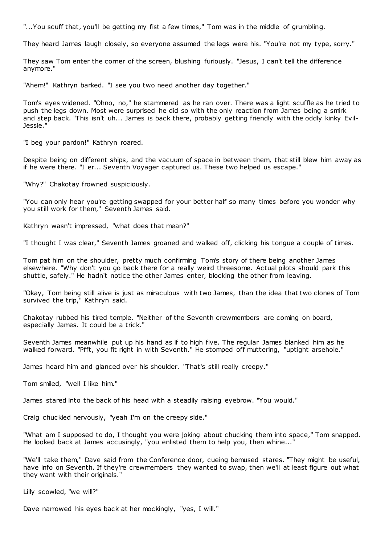"...You scuff that, you'll be getting my fist a few times," Tom was in the middle of grumbling.

They heard James laugh closely, so everyone assumed the legs were his. "You're not my type, sorry."

They saw Tom enter the corner of the screen, blushing furiously. "Jesus, I can't tell the difference anymore."

"Ahem!" Kathryn barked. "I see you two need another day together."

Tom's eyes widened. "Ohno, no," he stammered as he ran over. There was a light scuffle as he tried to push the legs down. Most were surprised he did so with the only reaction from James being a smirk and step back. "This isn't uh... James is back there, probably getting friendly with the oddly kinky Evil-Jessie."

"I beg your pardon!" Kathryn roared.

Despite being on different ships, and the vacuum of space in between them, that still blew him away as if he were there. "I er... Seventh Voyager captured us. These two helped us escape."

"Why?" Chakotay frowned suspiciously.

"You can only hear you're getting swapped for your better half so many times before you wonder why you still work for them," Seventh James said.

Kathryn wasn't impressed, "what does that mean?"

"I thought I was clear," Seventh James groaned and walked off, clicking his tongue a couple of times.

Tom pat him on the shoulder, pretty much confirming Tom's story of there being another James elsewhere. "Why don't you go back there for a really weird threesome. Actual pilots should park this shuttle, safely." He hadn't notice the other James enter, blocking the other from leaving.

"Okay, Tom being still alive is just as miraculous with two James, than the idea that two clones of Tom survived the trip," Kathryn said.

Chakotay rubbed his tired temple. "Neither of the Seventh crewmembers are coming on board, especially James. It could be a trick."

Seventh James meanwhile put up his hand as if to high five. The regular James blanked him as he walked forward. "Pfft, you fit right in with Seventh." He stomped off muttering, "uptight arsehole."

James heard him and glanced over his shoulder. "That's still really creepy."

Tom smiled, "well I like him."

James stared into the back of his head with a steadily raising eyebrow. "You would."

Craig chuckled nervously, "yeah I'm on the creepy side."

"What am I supposed to do, I thought you were joking about chucking them into space," Tom snapped. He looked back at James accusingly, "you enlisted them to help you, then whine...

"We'll take them," Dave said from the Conference door, cueing bemused stares. "They might be useful, have info on Seventh. If they're crewmembers they wanted to swap, then we'll at least figure out what they want with their originals."

Lilly scowled, "we will?"

Dave narrowed his eyes back at her mockingly, "yes, I will."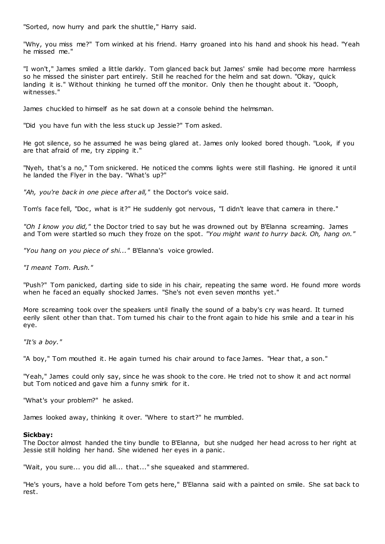"Sorted, now hurry and park the shuttle," Harry said.

"Why, you miss me?" Tom winked at his friend. Harry groaned into his hand and shook his head. "Yeah he missed me."

"I won't," James smiled a little darkly. Tom glanced back but James' smile had become more harmless so he missed the sinister part entirely. Still he reached for the helm and sat down. "Okay, quick landing it is." Without thinking he turned off the monitor. Only then he thought about it. "Oooph, witnesses."

James chuckled to himself as he sat down at a console behind the helmsman.

"Did you have fun with the less stuck up Jessie?" Tom asked.

He got silence, so he assumed he was being glared at. James only looked bored though. "Look, if you are that afraid of me, try zipping it."

"Nyeh, that's a no," Tom snickered. He noticed the comms lights were still flashing. He ignored it until he landed the Flyer in the bay. "What's up?"

*"Ah, you're back in one piece after all,"* the Doctor's voice said.

Tom's face fell, "Doc, what is it?" He suddenly got nervous, "I didn't leave that camera in there."

*"Oh I know you did,"* the Doctor tried to say but he was drowned out by B'Elanna screaming. James and Tom were startled so much they froze on the spot. *"You might want to hurry back. Oh, hang on."*

*"You hang on you piece of shi..."* B'Elanna's voice growled.

*"I meant Tom. Push."*

"Push?" Tom panicked, darting side to side in his chair, repeating the same word. He found more words when he faced an equally shocked James. "She's not even seven months yet."

More screaming took over the speakers until finally the sound of a baby's cry was heard. It turned eerily silent other than that. Tom turned his chair to the front again to hide his smile and a tear in his eye.

*"It's a boy."*

"A boy," Tom mouthed it. He again turned his chair around to face James. "Hear that, a son."

"Yeah," James could only say, since he was shook to the core. He tried not to show it and act normal but Tom noticed and gave him a funny smirk for it.

"What's your problem?" he asked.

James looked away, thinking it over. "Where to start?" he mumbled.

# **Sickbay:**

The Doctor almost handed the tiny bundle to B'Elanna, but she nudged her head across to her right at Jessie still holding her hand. She widened her eyes in a panic .

"Wait, you sure... you did all... that..." she squeaked and stammered.

"He's yours, have a hold before Tom gets here," B'Elanna said with a painted on smile. She sat back to rest.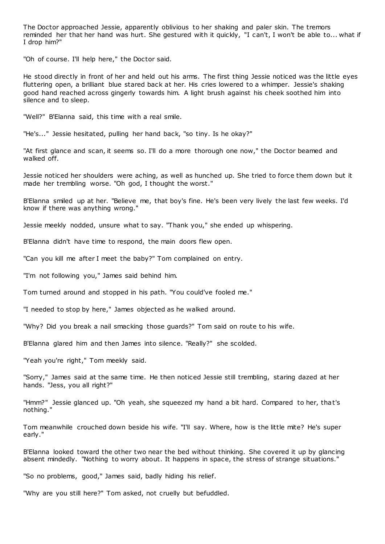The Doctor approached Jessie, apparently oblivious to her shaking and paler skin. The tremors reminded her that her hand was hurt. She gestured with it quickly, "I can't, I won't be able to... what if I drop him?"

"Oh of course. I'll help here," the Doctor said.

He stood directly in front of her and held out his arms. The first thing Jessie noticed was the little eyes fluttering open, a brilliant blue stared back at her. His cries lowered to a whimper. Jessie's shaking good hand reached across gingerly towards him. A light brush against his cheek soothed him into silence and to sleep.

"Well?" B'Elanna said, this time with a real smile.

"He's..." Jessie hesitated, pulling her hand back, "so tiny. Is he okay?"

"At first glance and scan, it seems so. I'll do a more thorough one now," the Doctor beamed and walked off.

Jessie noticed her shoulders were aching, as well as hunched up. She tried to force them down but it made her trembling worse. "Oh god, I thought the worst."

B'Elanna smiled up at her. "Believe me, that boy's fine. He's been very lively the last few weeks. I'd know if there was anything wrong."

Jessie meekly nodded, unsure what to say. "Thank you," she ended up whispering.

B'Elanna didn't have time to respond, the main doors flew open.

"Can you kill me after I meet the baby?" Tom complained on entry.

"I'm not following you," James said behind him.

Tom turned around and stopped in his path. "You could've fooled me."

"I needed to stop by here," James objected as he walked around.

"Why? Did you break a nail smacking those guards?" Tom said on route to his wife.

B'Elanna glared him and then James into silence. "Really?" she scolded.

"Yeah you're right," Tom meekly said.

"Sorry," James said at the same time. He then noticed Jessie still trembling, staring dazed at her hands. "Jess, you all right?"

"Hmm?" Jessie glanced up. "Oh yeah, she squeezed my hand a bit hard. Compared to her, that's nothing."

Tom meanwhile crouched down beside his wife. "I'll say. Where, how is the little mite? He's super early."

B'Elanna looked toward the other two near the bed without thinking. She covered it up by glancing absent mindedly. "Nothing to worry about. It happens in space, the stress of strange situations."

"So no problems, good," James said, badly hiding his relief.

"Why are you still here?" Tom asked, not cruelly but befuddled.